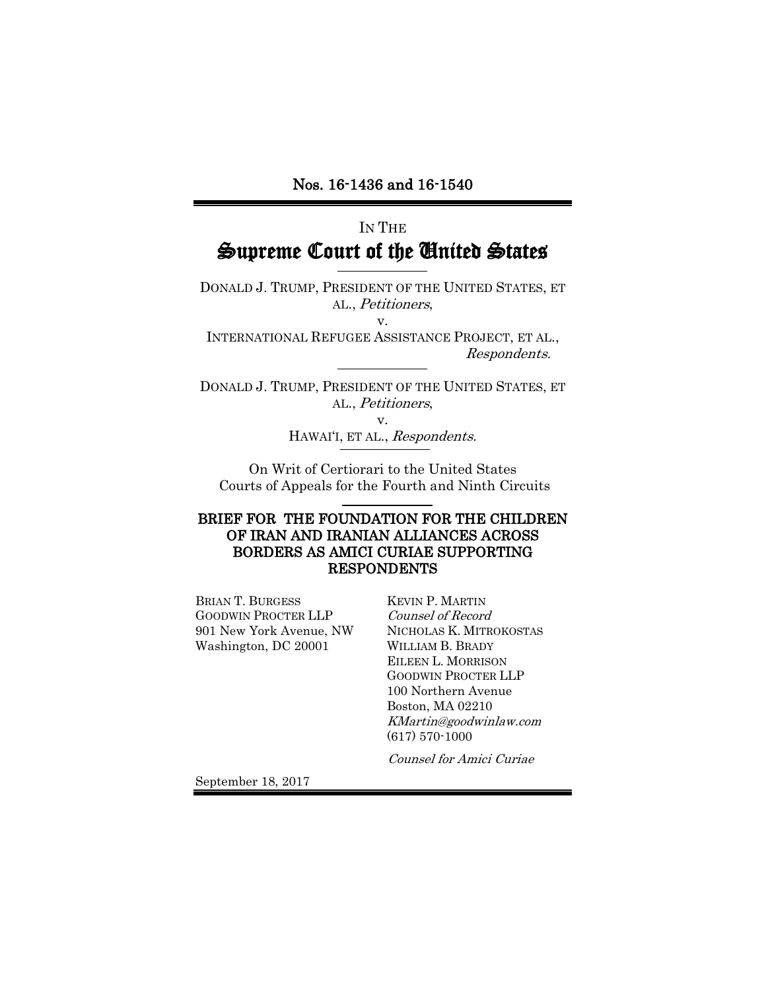## IN THE Supreme Court of the United States

DONALD J. TRUMP, PRESIDENT OF THE UNITED STATES, ET AL., Petitioners, v.

INTERNATIONAL REFUGEE ASSISTANCE PROJECT, ET AL., Respondents.

DONALD J. TRUMP, PRESIDENT OF THE UNITED STATES, ET AL., Petitioners,

v.

HAWAI'I, ET AL., Respondents.

On Writ of Certiorari to the United States Courts of Appeals for the Fourth and Ninth Circuits L

#### BRIEF FOR THE FOUNDATION FOR THE CHILDREN OF IRAN AND IRANIAN ALLIANCES ACROSS BORDERS AS AMICI CURIAE SUPPORTING RESPONDENTS

BRIAN T. BURGESS GOODWIN PROCTER LLP 901 New York Avenue, NW Washington, DC 20001

KEVIN P. MARTIN Counsel of Record NICHOLAS K. MITROKOSTAS WILLIAM B. BRADY EILEEN L. MORRISON GOODWIN PROCTER LLP 100 Northern Avenue Boston, MA 02210 KMartin@goodwinlaw.com (617) 570-1000

Counsel for Amici Curiae

September 18, 2017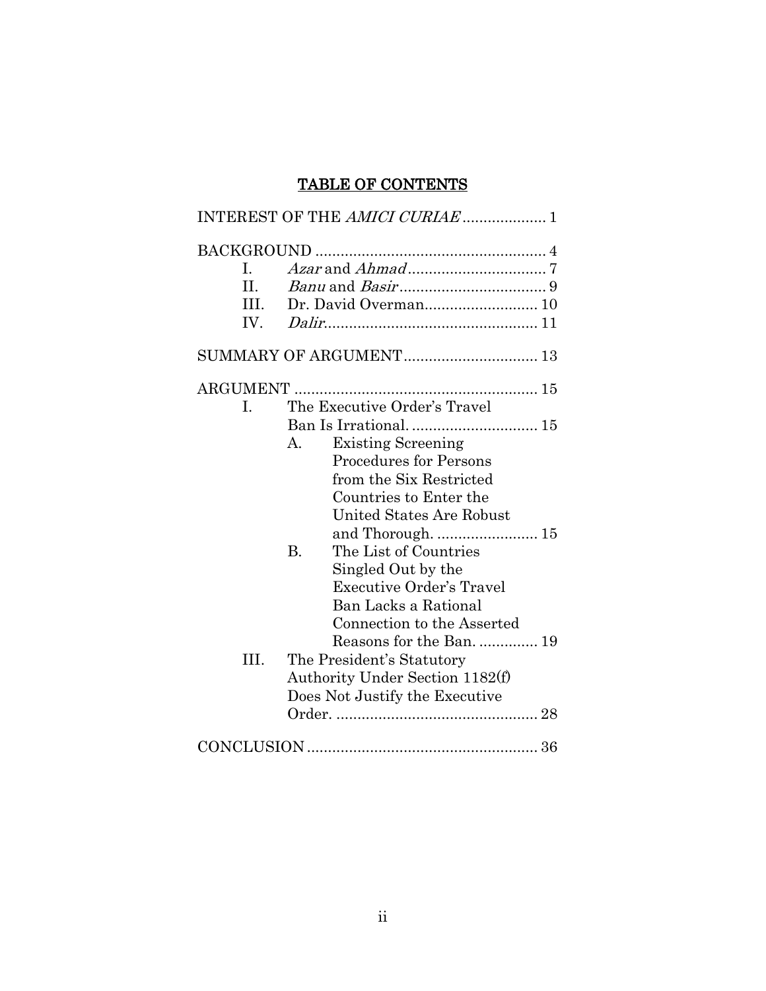### TABLE OF CONTENTS

|         | INTEREST OF THE AMICI CURIAE  1      |
|---------|--------------------------------------|
|         |                                      |
| L.      |                                      |
| $\Pi$ . |                                      |
| III.    |                                      |
| IV.     |                                      |
|         | SUMMARY OF ARGUMENT 13               |
|         |                                      |
| I.      | The Executive Order's Travel         |
|         |                                      |
|         | <b>Existing Screening</b><br>$A_{-}$ |
|         | <b>Procedures for Persons</b>        |
|         | from the Six Restricted              |
|         | Countries to Enter the               |
|         | United States Are Robust             |
|         | and Thorough.  15                    |
|         | The List of Countries<br><b>B.</b>   |
|         | Singled Out by the                   |
|         | <b>Executive Order's Travel</b>      |
|         | Ban Lacks a Rational                 |
|         | Connection to the Asserted           |
|         | Reasons for the Ban 19               |
| HI.     | The President's Statutory            |
|         | Authority Under Section 1182(f)      |
|         | Does Not Justify the Executive       |
|         |                                      |
|         |                                      |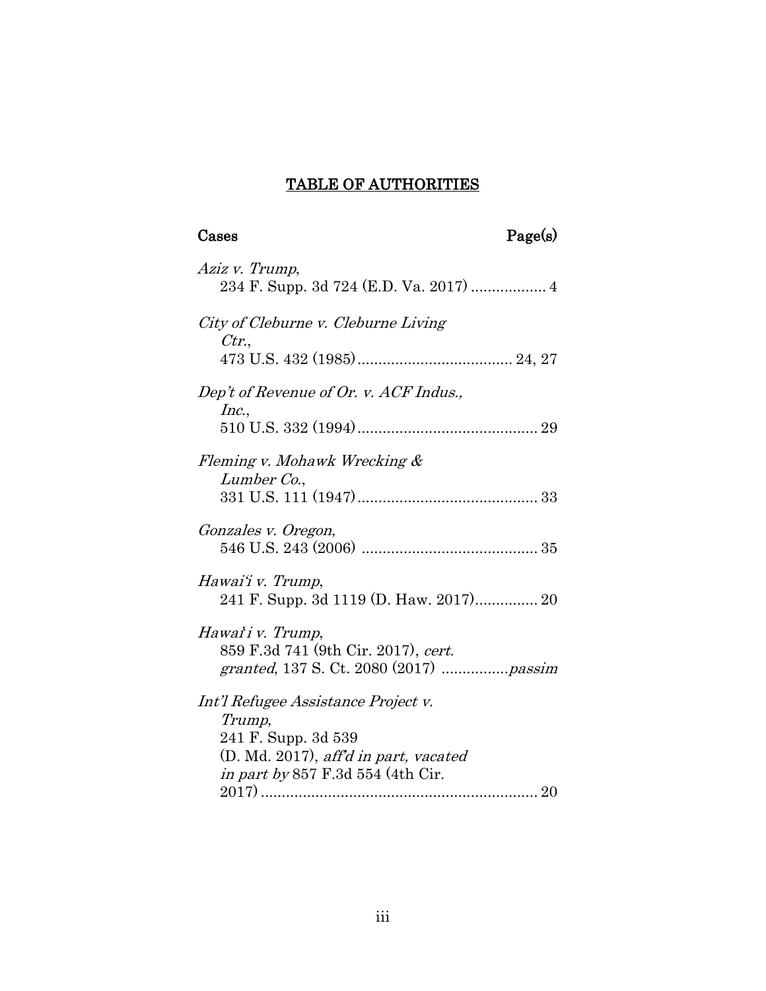### TABLE OF AUTHORITIES

## Cases Page(s)

| Aziz v. Trump,<br>234 F. Supp. 3d 724 (E.D. Va. 2017)  4                                                                                                  |
|-----------------------------------------------------------------------------------------------------------------------------------------------------------|
| City of Cleburne v. Cleburne Living<br>Ctr.                                                                                                               |
| Dep't of Revenue of Or. v. ACF Indus.,<br>Inc.,                                                                                                           |
| Fleming v. Mohawk Wrecking &<br>Lumber Co.,                                                                                                               |
| Gonzales v. Oregon,                                                                                                                                       |
| Hawai'i v. Trump,<br>241 F. Supp. 3d 1119 (D. Haw. 2017) 20                                                                                               |
| Hawai'i v. Trump,<br>859 F.3d 741 (9th Cir. 2017), cert.<br>granted, 137 S. Ct. 2080 (2017) passim                                                        |
| Int'l Refugee Assistance Project v.<br>Trump,<br>241 F. Supp. 3d 539<br>(D. Md. 2017), aff'd in part, vacated<br><i>in part by</i> 857 F.3d 554 (4th Cir. |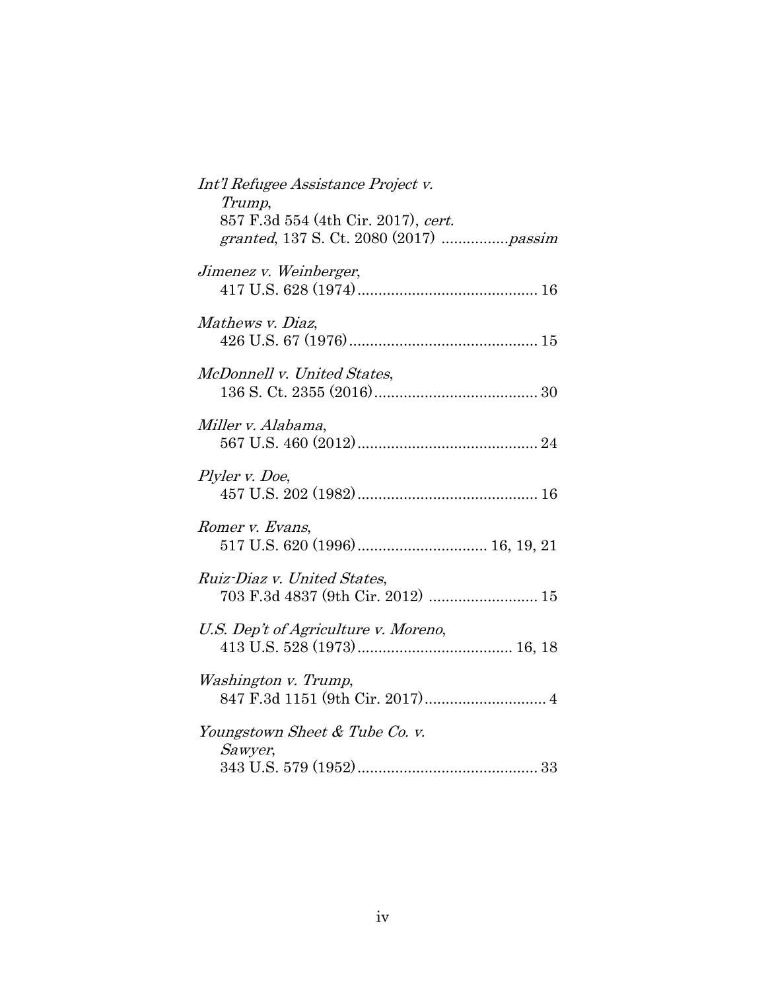| Int'l Refugee Assistance Project v.<br>Trump,<br>857 F.3d 554 (4th Cir. 2017), cert.<br>granted, 137 S. Ct. 2080 (2017)  passim |
|---------------------------------------------------------------------------------------------------------------------------------|
| Jimenez v. Weinberger,                                                                                                          |
| Mathews v. Diaz,                                                                                                                |
| McDonnell v. United States,                                                                                                     |
| Miller v. Alabama,                                                                                                              |
| Plyler v. Doe,                                                                                                                  |
| Romer v. Evans,                                                                                                                 |
| Ruiz-Diaz v. United States,<br>703 F.3d 4837 (9th Cir. 2012)  15                                                                |
| U.S. Dep't of Agriculture v. Moreno,                                                                                            |
| Washington v. Trump,                                                                                                            |
| Youngstown Sheet & Tube Co. v.<br>Sawyer,                                                                                       |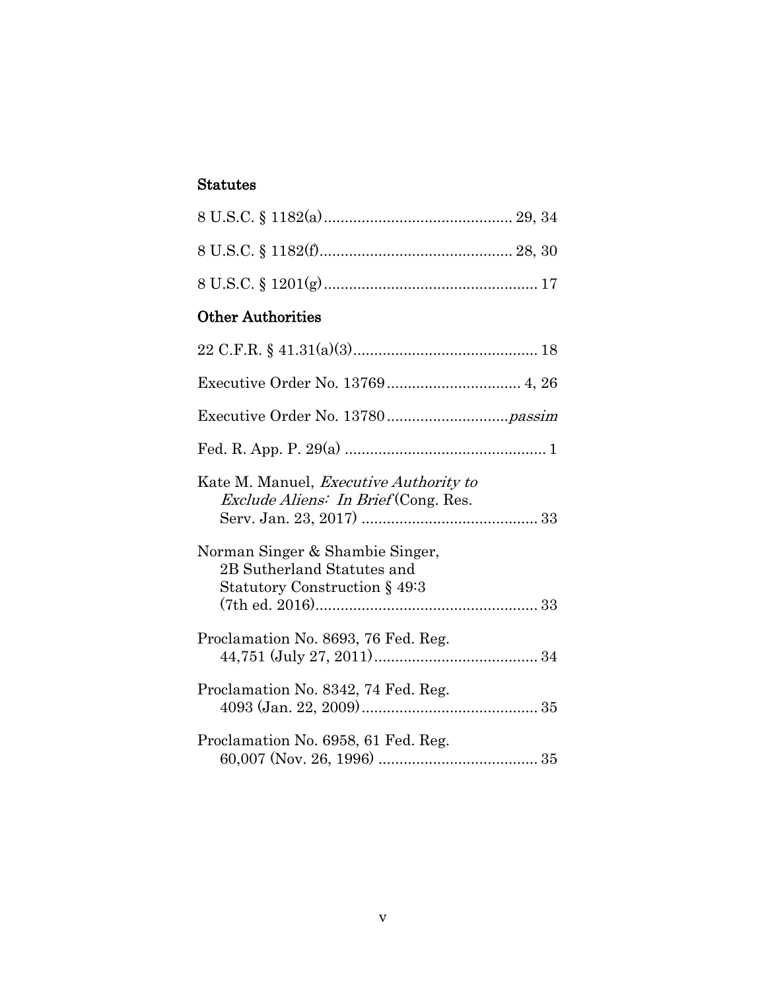### Statutes

### Other Authorities

| Kate M. Manuel, <i>Executive Authority to</i><br><i>Exclude Aliens: In Brief</i> (Cong. Res.   |
|------------------------------------------------------------------------------------------------|
| Norman Singer & Shambie Singer,<br>2B Sutherland Statutes and<br>Statutory Construction § 49:3 |
| Proclamation No. 8693, 76 Fed. Reg.                                                            |
| Proclamation No. 8342, 74 Fed. Reg.                                                            |
| Proclamation No. 6958, 61 Fed. Reg.                                                            |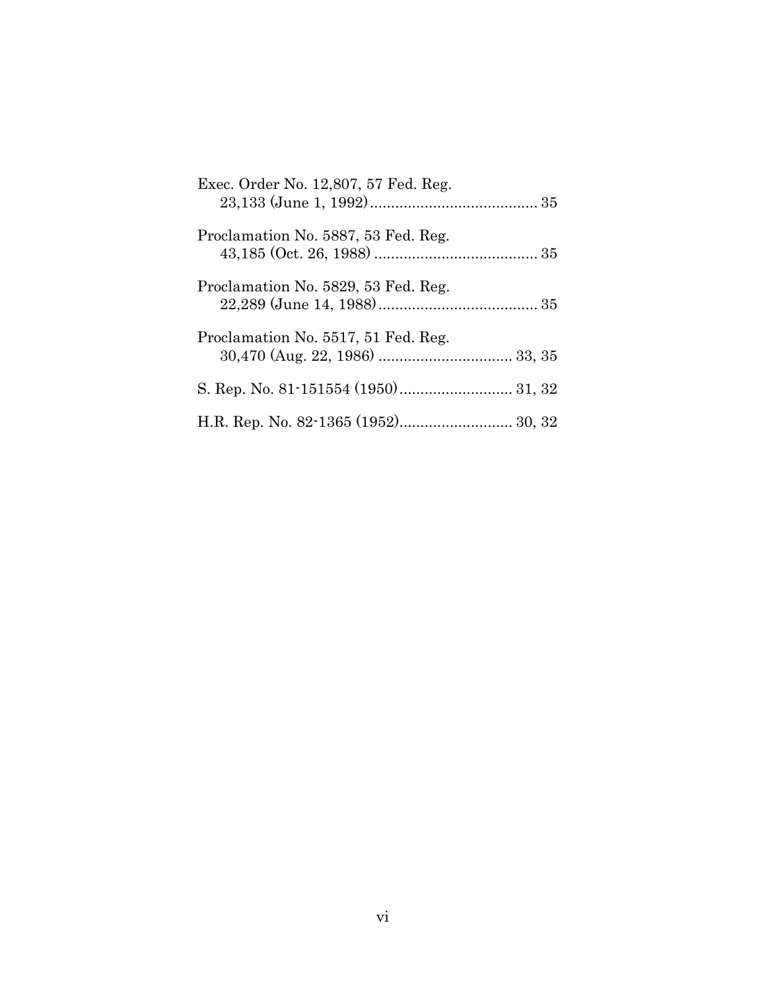| Exec. Order No. 12,807, 57 Fed. Reg. |
|--------------------------------------|
| Proclamation No. 5887, 53 Fed. Reg.  |
| Proclamation No. 5829, 53 Fed. Reg.  |
| Proclamation No. 5517, 51 Fed. Reg.  |
|                                      |
|                                      |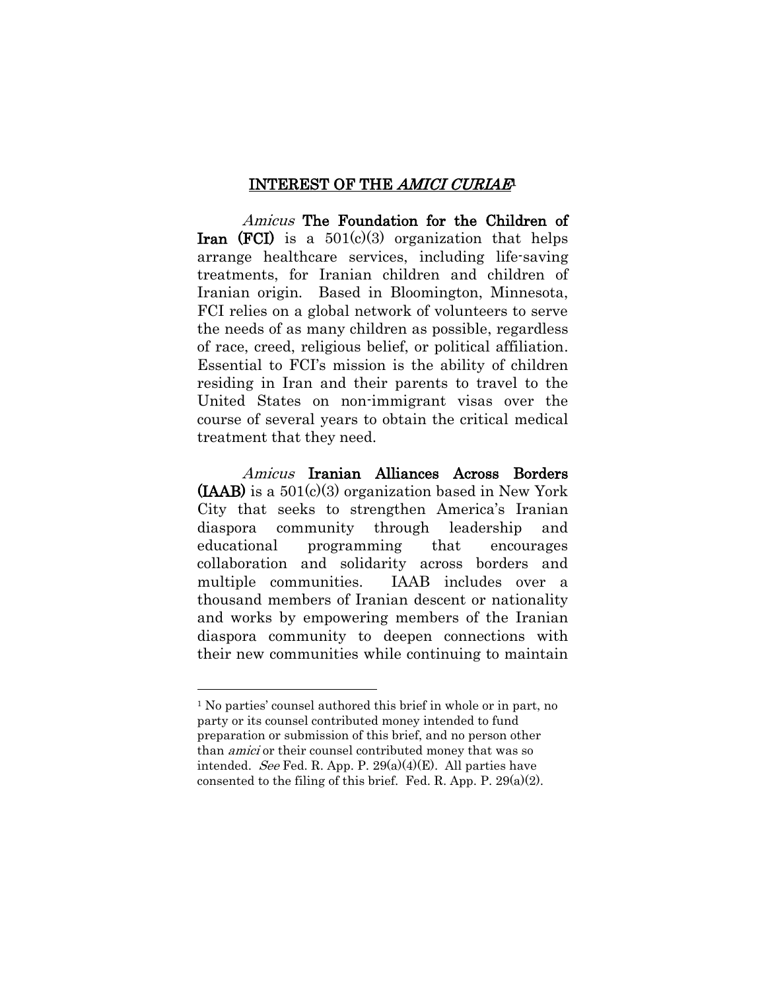#### INTEREST OF THE AMICI CURIAE<sup>1</sup>

<span id="page-6-0"></span>Amicus The Foundation for the Children of **Iran (FCI)** is a  $501(c)(3)$  organization that helps arrange healthcare services, including life-saving treatments, for Iranian children and children of Iranian origin. Based in Bloomington, Minnesota, FCI relies on a global network of volunteers to serve the needs of as many children as possible, regardless of race, creed, religious belief, or political affiliation. Essential to FCI's mission is the ability of children residing in Iran and their parents to travel to the United States on non-immigrant visas over the course of several years to obtain the critical medical treatment that they need.

Amicus Iranian Alliances Across Borders  $(LAAB)$  is a 501(c)(3) organization based in New York City that seeks to strengthen America's Iranian diaspora community through leadership and educational programming that encourages collaboration and solidarity across borders and multiple communities. IAAB includes over a thousand members of Iranian descent or nationality and works by empowering members of the Iranian diaspora community to deepen connections with their new communities while continuing to maintain

<sup>1</sup> No parties' counsel authored this brief in whole or in part, no party or its counsel contributed money intended to fund preparation or submission of this brief, and no person other than amici or their counsel contributed money that was so intended. *See* Fed. R. App. P.  $29(a)(4)(E)$ . All parties have consented to the filing of this brief. Fed. R. App. P.  $29(a)(2)$ .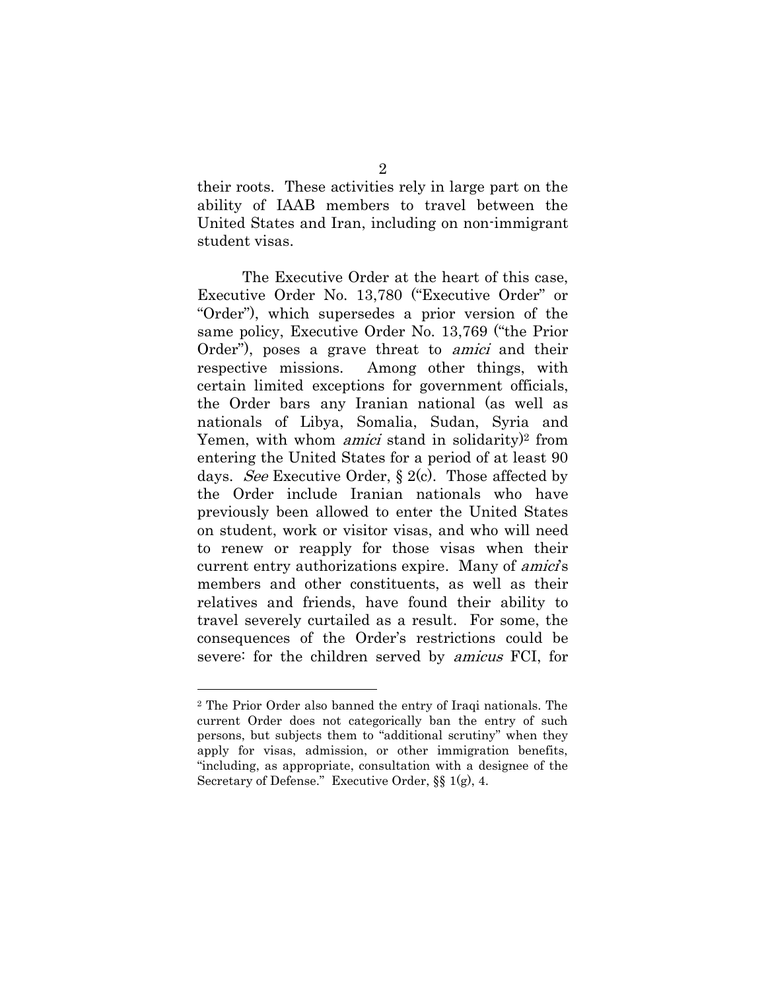their roots. These activities rely in large part on the ability of IAAB members to travel between the United States and Iran, including on non-immigrant student visas.

The Executive Order at the heart of this case, Executive Order No. 13,780 ("Executive Order" or "Order"), which supersedes a prior version of the same policy, Executive Order No. 13,769 ("the Prior Order"), poses a grave threat to amici and their respective missions. Among other things, with certain limited exceptions for government officials, the Order bars any Iranian national (as well as nationals of Libya, Somalia, Sudan, Syria and Yemen, with whom *amici* stand in solidarity)<sup>2</sup> from entering the United States for a period of at least 90 days. See Executive Order,  $\S 2(c)$ . Those affected by the Order include Iranian nationals who have previously been allowed to enter the United States on student, work or visitor visas, and who will need to renew or reapply for those visas when their current entry authorizations expire. Many of *amici's* members and other constituents, as well as their relatives and friends, have found their ability to travel severely curtailed as a result. For some, the consequences of the Order's restrictions could be severe: for the children served by amicus FCI, for

<sup>2</sup> The Prior Order also banned the entry of Iraqi nationals. The current Order does not categorically ban the entry of such persons, but subjects them to "additional scrutiny" when they apply for visas, admission, or other immigration benefits, "including, as appropriate, consultation with a designee of the Secretary of Defense." Executive Order, §§ 1(g), 4.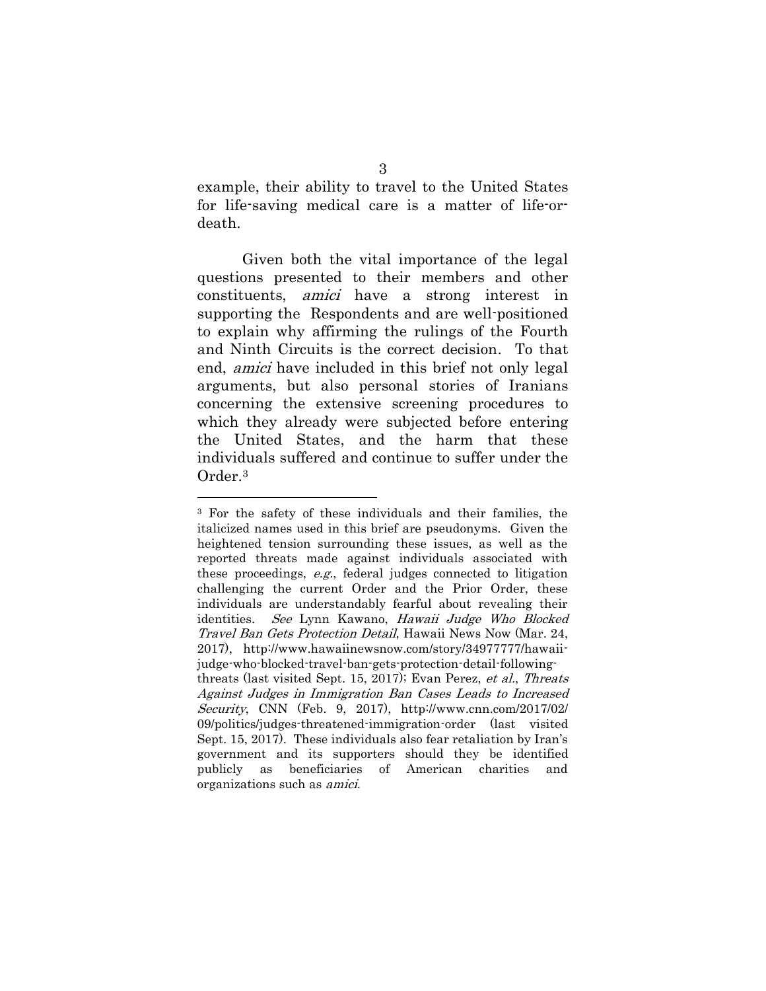example, their ability to travel to the United States for life-saving medical care is a matter of life-ordeath.

Given both the vital importance of the legal questions presented to their members and other constituents, amici have a strong interest in supporting the Respondents and are well-positioned to explain why affirming the rulings of the Fourth and Ninth Circuits is the correct decision. To that end, amici have included in this brief not only legal arguments, but also personal stories of Iranians concerning the extensive screening procedures to which they already were subjected before entering the United States, and the harm that these individuals suffered and continue to suffer under the Order. 3

<span id="page-8-0"></span>

<sup>3</sup> For the safety of these individuals and their families, the italicized names used in this brief are pseudonyms. Given the heightened tension surrounding these issues, as well as the reported threats made against individuals associated with these proceedings, e.g., federal judges connected to litigation challenging the current Order and the Prior Order, these individuals are understandably fearful about revealing their identities. See Lynn Kawano, Hawaii Judge Who Blocked Travel Ban Gets Protection Detail, Hawaii News Now (Mar. 24, 2017), http://www.hawaiinewsnow.com/story/34977777/hawaiijudge-who-blocked-travel-ban-gets-protection-detail-followingthreats (last visited Sept. 15, 2017); Evan Perez, et al., Threats Against Judges in Immigration Ban Cases Leads to Increased Security, CNN (Feb. 9, 2017), http://www.cnn.com/2017/02/ 09/politics/judges-threatened-immigration-order (last visited Sept. 15, 2017). These individuals also fear retaliation by Iran's government and its supporters should they be identified publicly as beneficiaries of American charities and organizations such as amici.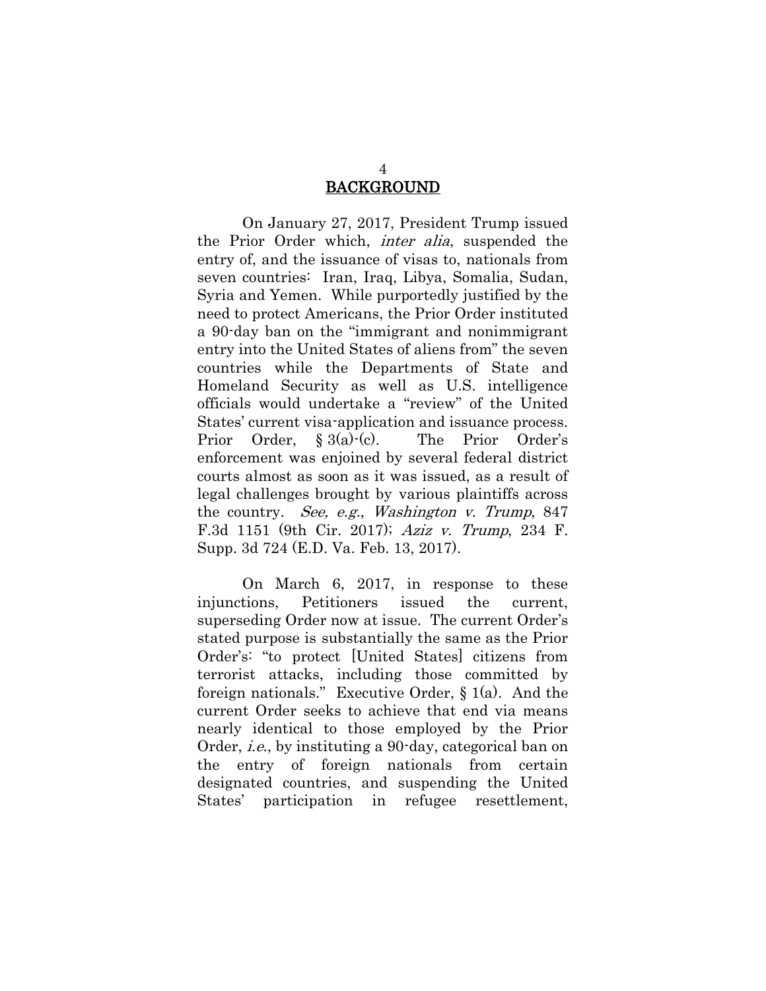### BACKGROUND

<span id="page-9-0"></span>On January 27, 2017, President Trump issued the Prior Order which, inter alia, suspended the entry of, and the issuance of visas to, nationals from seven countries: Iran, Iraq, Libya, Somalia, Sudan, Syria and Yemen. While purportedly justified by the need to protect Americans, the Prior Order instituted a 90-day ban on the "immigrant and nonimmigrant entry into the United States of aliens from" the seven countries while the Departments of State and Homeland Security as well as U.S. intelligence officials would undertake a "review" of the United States' current visa-application and issuance process. Prior Order, § 3(a)-(c). The Prior Order's enforcement was enjoined by several federal district courts almost as soon as it was issued, as a result of legal challenges brought by various plaintiffs across the country. See, e.g., Washington v. Trump, 847 F.3d 1151 (9th Cir. 2017); Aziz v. Trump, 234 F. Supp. 3d 724 (E.D. Va. Feb. 13, 2017).

On March 6, 2017, in response to these injunctions, Petitioners issued the current, superseding Order now at issue. The current Order's stated purpose is substantially the same as the Prior Order's: "to protect [United States] citizens from terrorist attacks, including those committed by foreign nationals." Executive Order,  $\S$  1(a). And the current Order seeks to achieve that end via means nearly identical to those employed by the Prior Order, i.e., by instituting a 90-day, categorical ban on the entry of foreign nationals from certain designated countries, and suspending the United States' participation in refugee resettlement,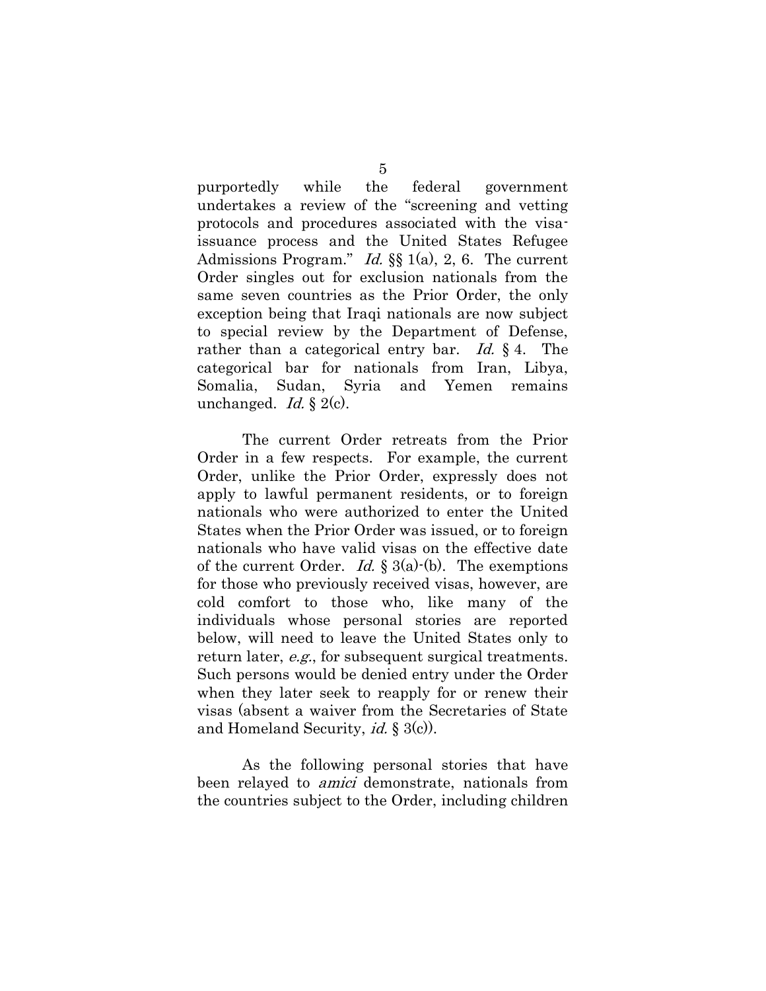purportedly while the federal government undertakes a review of the "screening and vetting protocols and procedures associated with the visaissuance process and the United States Refugee Admissions Program." Id.  $\S$  1(a), 2, 6. The current Order singles out for exclusion nationals from the same seven countries as the Prior Order, the only exception being that Iraqi nationals are now subject to special review by the Department of Defense, rather than a categorical entry bar. Id.  $\S$  4. The categorical bar for nationals from Iran, Libya, Somalia, Sudan, Syria and Yemen remains unchanged. *Id.*  $\S 2(c)$ .

The current Order retreats from the Prior Order in a few respects. For example, the current Order, unlike the Prior Order, expressly does not apply to lawful permanent residents, or to foreign nationals who were authorized to enter the United States when the Prior Order was issued, or to foreign nationals who have valid visas on the effective date of the current Order. *Id.*  $\S 3(a)$  $(b)$ . The exemptions for those who previously received visas, however, are cold comfort to those who, like many of the individuals whose personal stories are reported below, will need to leave the United States only to return later, *e.g.*, for subsequent surgical treatments. Such persons would be denied entry under the Order when they later seek to reapply for or renew their visas (absent a waiver from the Secretaries of State and Homeland Security, *id.*  $\S 3(c)$ .

As the following personal stories that have been relayed to *amici* demonstrate, nationals from the countries subject to the Order, including children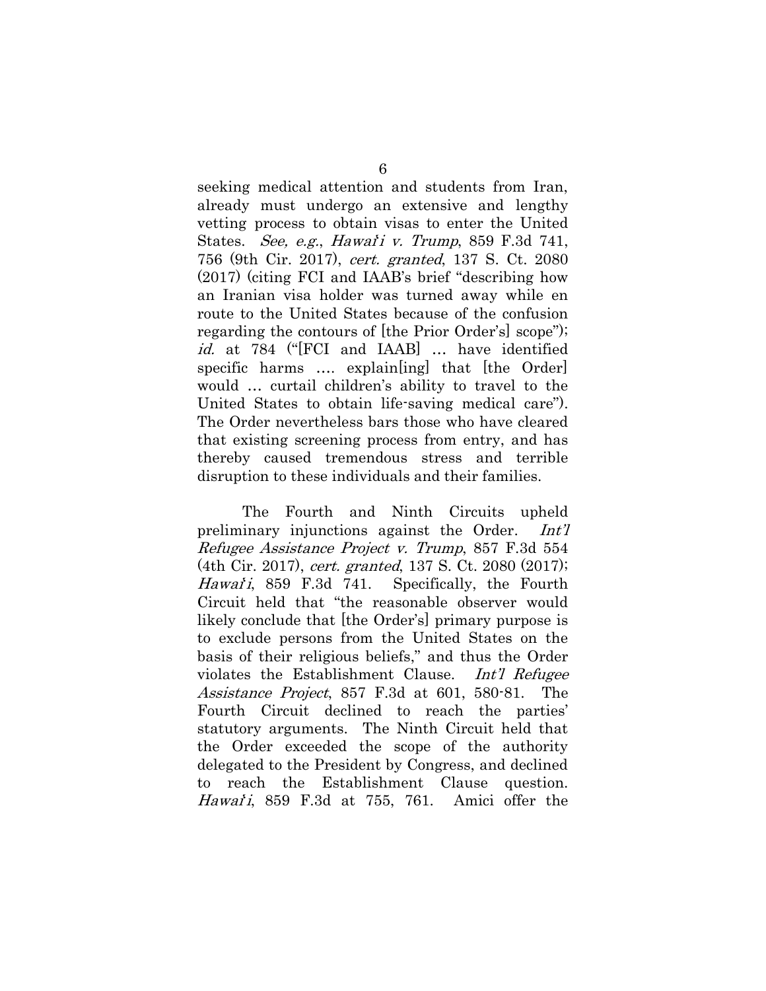seeking medical attention and students from Iran, already must undergo an extensive and lengthy vetting process to obtain visas to enter the United States. See, e.g., Hawai'i v. Trump, 859 F.3d 741, 756 (9th Cir. 2017), cert. granted, 137 S. Ct. 2080 (2017) (citing FCI and IAAB's brief "describing how an Iranian visa holder was turned away while en route to the United States because of the confusion regarding the contours of [the Prior Order's] scope"); id. at 784 ("[FCI and IAAB] ... have identified specific harms .... explain [ing] that [the Order] would … curtail children's ability to travel to the United States to obtain life-saving medical care"). The Order nevertheless bars those who have cleared that existing screening process from entry, and has thereby caused tremendous stress and terrible disruption to these individuals and their families.

The Fourth and Ninth Circuits upheld preliminary injunctions against the Order. Int'l Refugee Assistance Project v. Trump, 857 F.3d 554 (4th Cir. 2017), cert. granted, 137 S. Ct. 2080 (2017); Hawaii, 859 F.3d 741. Specifically, the Fourth Circuit held that "the reasonable observer would likely conclude that [the Order's] primary purpose is to exclude persons from the United States on the basis of their religious beliefs," and thus the Order violates the Establishment Clause. Int'l Refugee Assistance Project, 857 F.3d at 601, 580-81. The Fourth Circuit declined to reach the parties' statutory arguments. The Ninth Circuit held that the Order exceeded the scope of the authority delegated to the President by Congress, and declined to reach the Establishment Clause question. Hawai<sup>'</sup>i, 859 F.3d at 755, 761. Amici offer the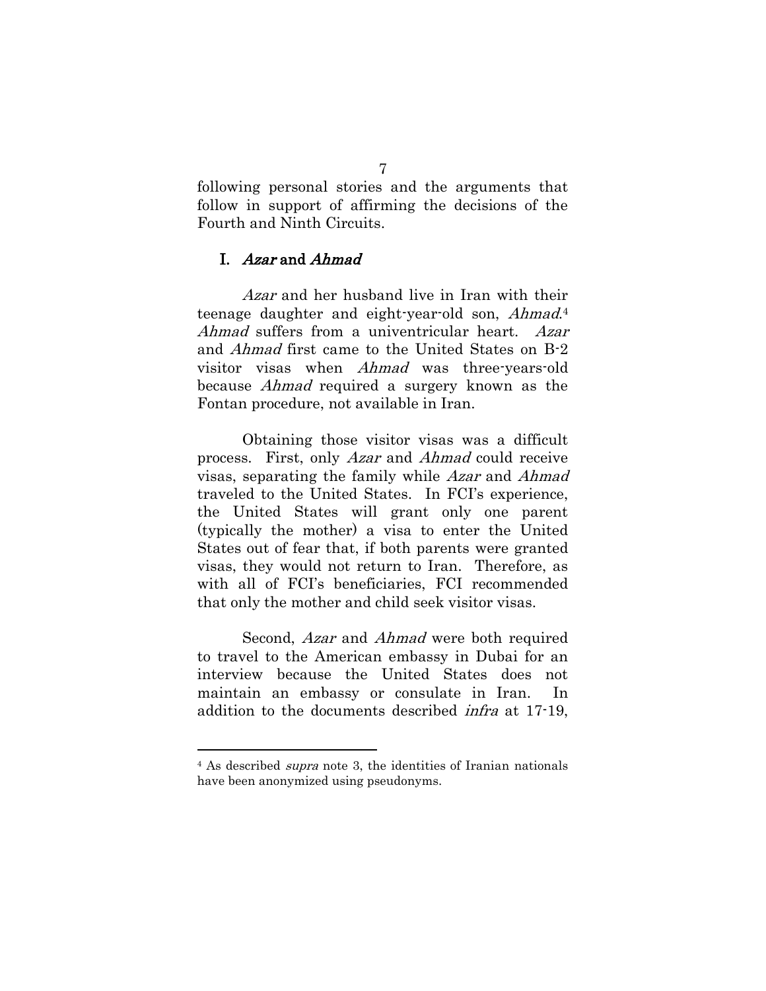following personal stories and the arguments that follow in support of affirming the decisions of the Fourth and Ninth Circuits.

#### <span id="page-12-0"></span>I. Azar and Ahmad

Azar and her husband live in Iran with their teenage daughter and eight-year-old son, Ahmad.<sup>4</sup> Ahmad suffers from a univentricular heart. Azar and Ahmad first came to the United States on B-2 visitor visas when Ahmad was three-years-old because Ahmad required a surgery known as the Fontan procedure, not available in Iran.

Obtaining those visitor visas was a difficult process. First, only Azar and Ahmad could receive visas, separating the family while Azar and Ahmad traveled to the United States. In FCI's experience, the United States will grant only one parent (typically the mother) a visa to enter the United States out of fear that, if both parents were granted visas, they would not return to Iran. Therefore, as with all of FCI's beneficiaries, FCI recommended that only the mother and child seek visitor visas.

Second, Azar and Ahmad were both required to travel to the American embassy in Dubai for an interview because the United States does not maintain an embassy or consulate in Iran. In addition to the documents described infra at 17-19,

<sup>4</sup> As described supra note [3,](#page-8-0) the identities of Iranian nationals have been anonymized using pseudonyms.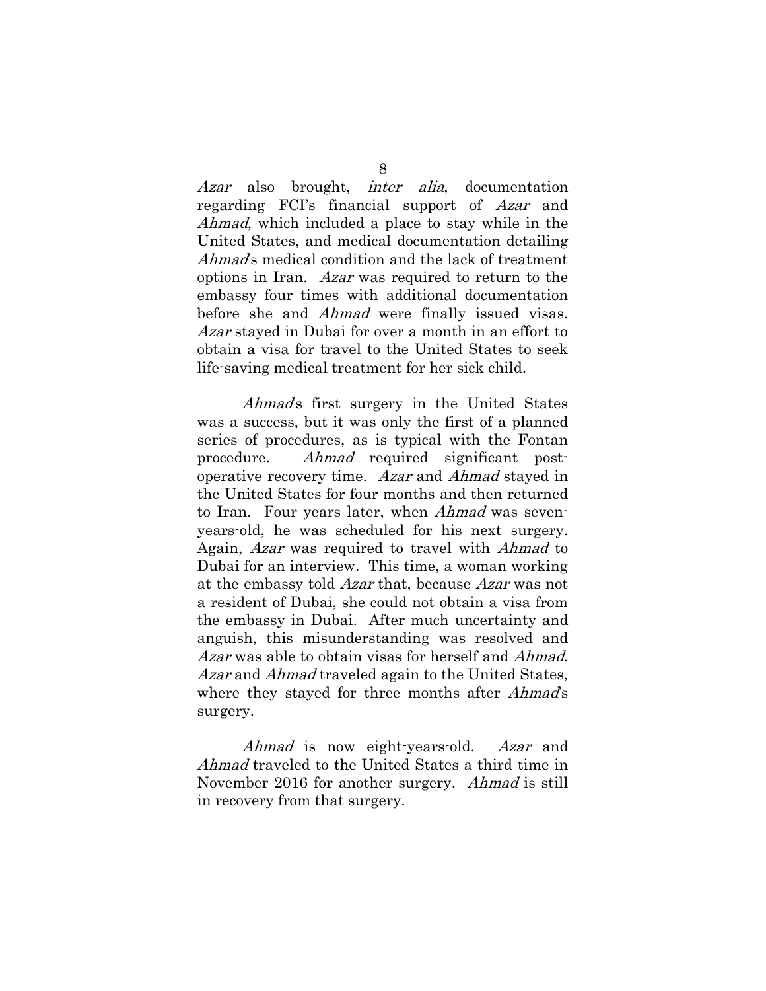Azar also brought, inter alia, documentation regarding FCI's financial support of Azar and Ahmad, which included a place to stay while in the United States, and medical documentation detailing Ahmad's medical condition and the lack of treatment options in Iran. Azar was required to return to the embassy four times with additional documentation before she and Ahmad were finally issued visas. Azar stayed in Dubai for over a month in an effort to obtain a visa for travel to the United States to seek life-saving medical treatment for her sick child.

Ahmad's first surgery in the United States was a success, but it was only the first of a planned series of procedures, as is typical with the Fontan procedure. Ahmad required significant postoperative recovery time. Azar and Ahmad stayed in the United States for four months and then returned to Iran. Four years later, when Ahmad was sevenyears-old, he was scheduled for his next surgery. Again, Azar was required to travel with Ahmad to Dubai for an interview. This time, a woman working at the embassy told Azar that, because Azar was not a resident of Dubai, she could not obtain a visa from the embassy in Dubai. After much uncertainty and anguish, this misunderstanding was resolved and Azar was able to obtain visas for herself and *Ahmad*. Azar and Ahmad traveled again to the United States, where they stayed for three months after *Ahmad's* surgery.

Ahmad is now eight-years-old. Azar and Ahmad traveled to the United States a third time in November 2016 for another surgery. *Ahmad* is still in recovery from that surgery.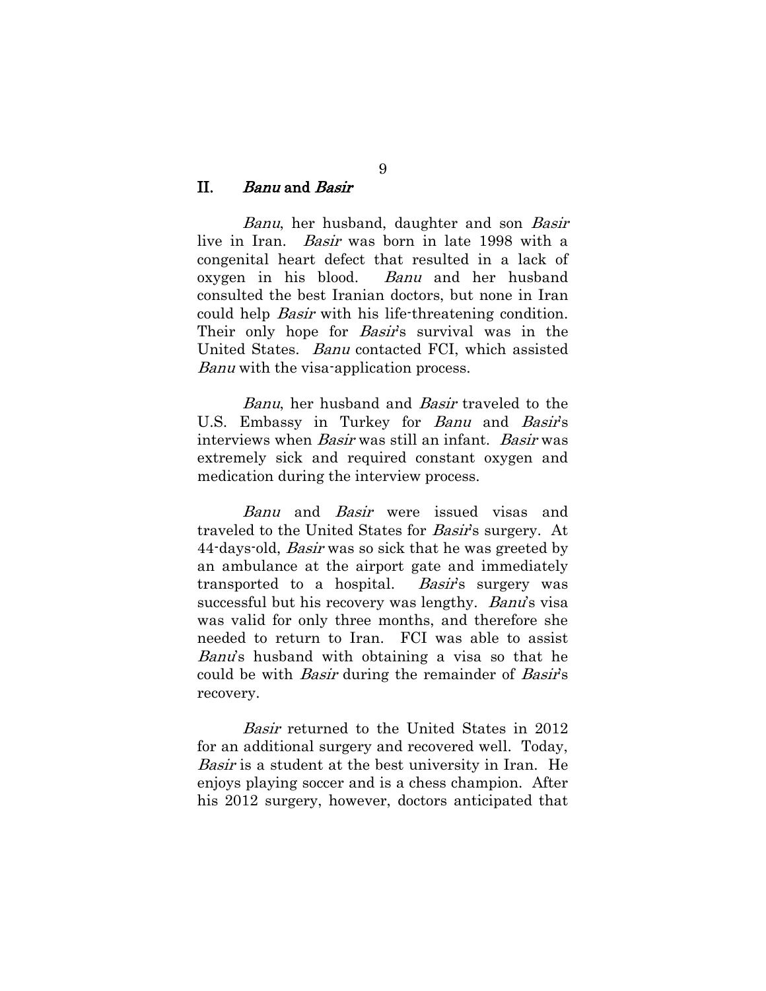#### <span id="page-14-0"></span>II. Banu and Basir

Banu, her husband, daughter and son Basir live in Iran. Basir was born in late 1998 with a congenital heart defect that resulted in a lack of oxygen in his blood. Banu and her husband consulted the best Iranian doctors, but none in Iran could help Basir with his life-threatening condition. Their only hope for *Basir's* survival was in the United States. Banu contacted FCI, which assisted Banu with the visa-application process.

Banu, her husband and Basir traveled to the U.S. Embassy in Turkey for Banu and Basir's interviews when Basir was still an infant. Basir was extremely sick and required constant oxygen and medication during the interview process.

Banu and Basir were issued visas and traveled to the United States for Basir's surgery. At 44-days-old, *Basir* was so sick that he was greeted by an ambulance at the airport gate and immediately transported to a hospital. Basir's surgery was successful but his recovery was lengthy. Banu's visa was valid for only three months, and therefore she needed to return to Iran. FCI was able to assist Banu's husband with obtaining a visa so that he could be with *Basir* during the remainder of *Basir's* recovery.

Basir returned to the United States in 2012 for an additional surgery and recovered well. Today, Basir is a student at the best university in Iran. He enjoys playing soccer and is a chess champion. After his 2012 surgery, however, doctors anticipated that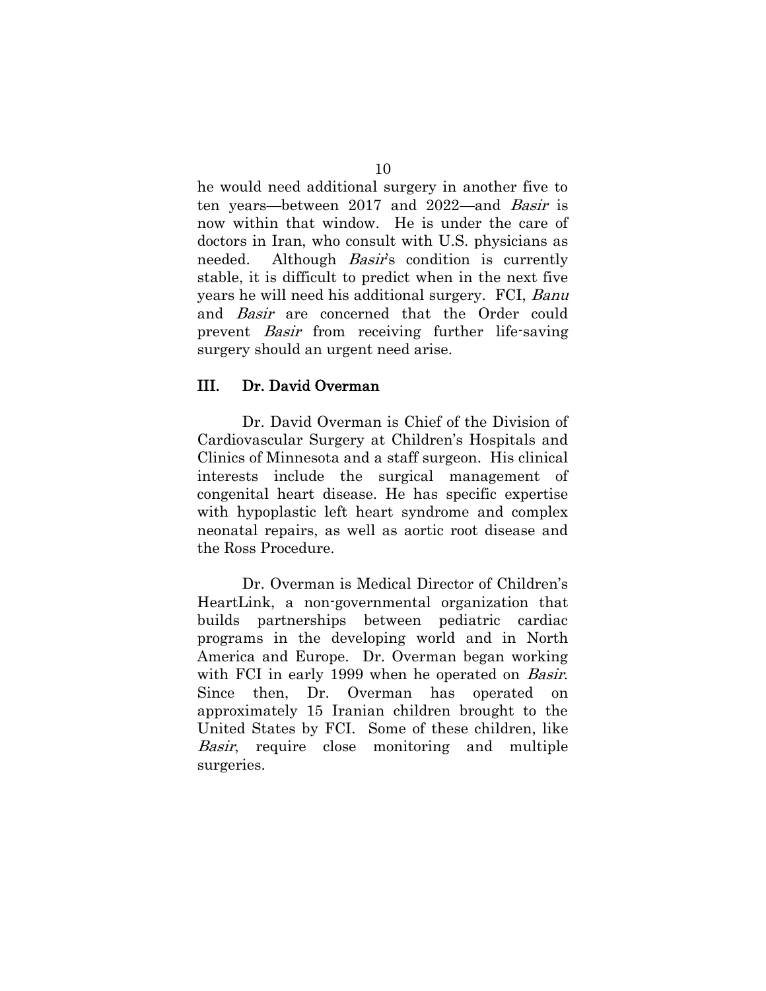he would need additional surgery in another five to ten years—between 2017 and 2022—and Basir is now within that window. He is under the care of doctors in Iran, who consult with U.S. physicians as needed. Although *Basir's* condition is currently stable, it is difficult to predict when in the next five years he will need his additional surgery. FCI, Banu and Basir are concerned that the Order could prevent Basir from receiving further life-saving surgery should an urgent need arise.

#### <span id="page-15-0"></span>III. Dr. David Overman

Dr. David Overman is Chief of the Division of Cardiovascular Surgery at Children's Hospitals and Clinics of Minnesota and a staff surgeon. His clinical interests include the surgical management of congenital heart disease. He has specific expertise with hypoplastic left heart syndrome and complex neonatal repairs, as well as aortic root disease and the Ross Procedure.

Dr. Overman is Medical Director of Children's HeartLink, a non-governmental organization that builds partnerships between pediatric cardiac programs in the developing world and in North America and Europe. Dr. Overman began working with FCI in early 1999 when he operated on *Basir*. Since then, Dr. Overman has operated on approximately 15 Iranian children brought to the United States by FCI. Some of these children, like Basir, require close monitoring and multiple surgeries.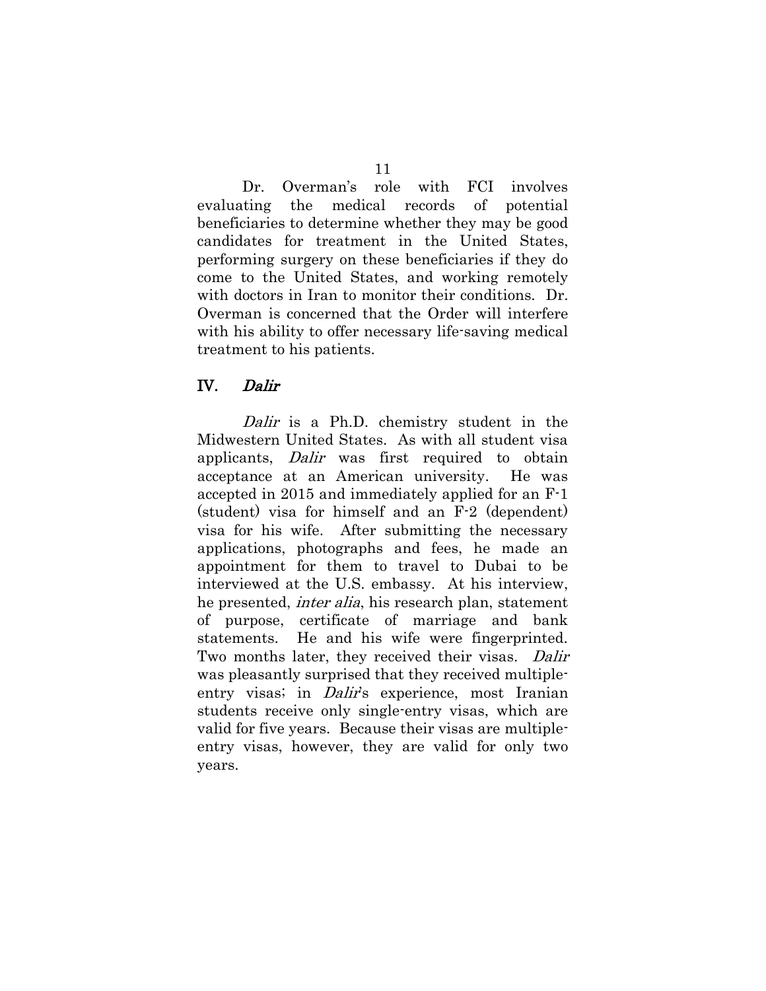Dr. Overman's role with FCI involves evaluating the medical records of potential beneficiaries to determine whether they may be good candidates for treatment in the United States, performing surgery on these beneficiaries if they do come to the United States, and working remotely with doctors in Iran to monitor their conditions. Dr. Overman is concerned that the Order will interfere with his ability to offer necessary life-saving medical treatment to his patients.

#### <span id="page-16-0"></span>IV. Dalir

Dalir is a Ph.D. chemistry student in the Midwestern United States. As with all student visa applicants, Dalir was first required to obtain acceptance at an American university. He was accepted in 2015 and immediately applied for an F-1 (student) visa for himself and an F-2 (dependent) visa for his wife. After submitting the necessary applications, photographs and fees, he made an appointment for them to travel to Dubai to be interviewed at the U.S. embassy. At his interview, he presented, inter alia, his research plan, statement of purpose, certificate of marriage and bank statements. He and his wife were fingerprinted. Two months later, they received their visas. Dalir was pleasantly surprised that they received multipleentry visas; in *Dalir's* experience, most Iranian students receive only single-entry visas, which are valid for five years. Because their visas are multipleentry visas, however, they are valid for only two years.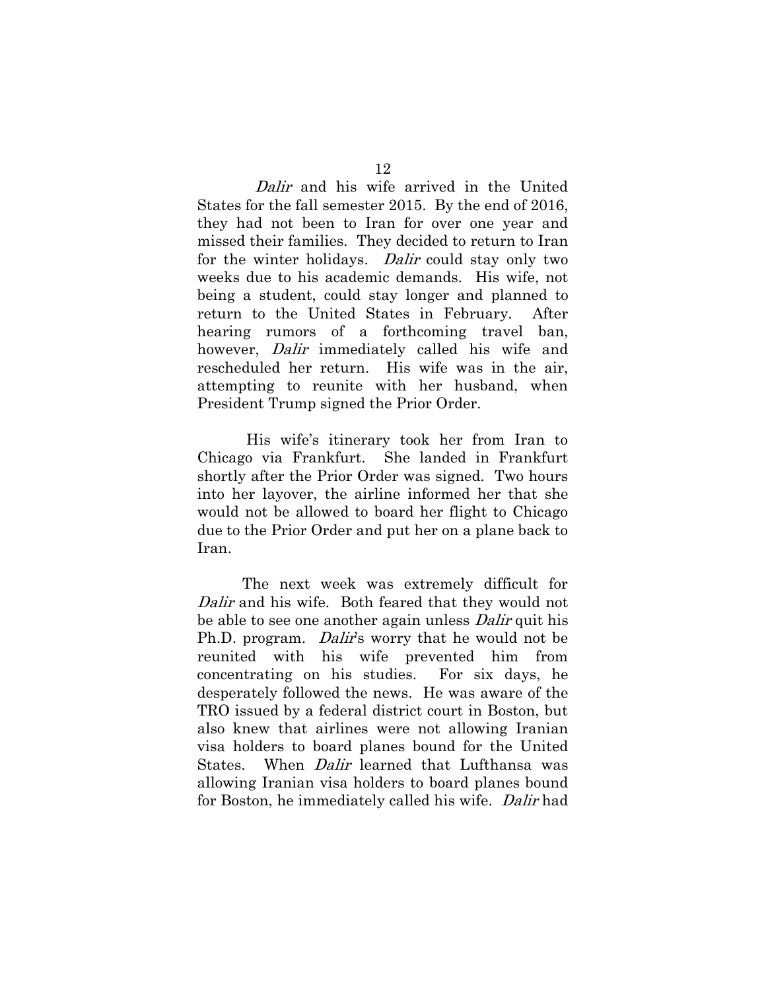Dalir and his wife arrived in the United States for the fall semester 2015. By the end of 2016, they had not been to Iran for over one year and missed their families. They decided to return to Iran for the winter holidays. *Dalir* could stay only two weeks due to his academic demands. His wife, not being a student, could stay longer and planned to return to the United States in February. After hearing rumors of a forthcoming travel ban, however, *Dalir* immediately called his wife and rescheduled her return. His wife was in the air, attempting to reunite with her husband, when President Trump signed the Prior Order.

His wife's itinerary took her from Iran to Chicago via Frankfurt. She landed in Frankfurt shortly after the Prior Order was signed. Two hours into her layover, the airline informed her that she would not be allowed to board her flight to Chicago due to the Prior Order and put her on a plane back to Iran.

The next week was extremely difficult for Dalir and his wife. Both feared that they would not be able to see one another again unless *Dalir* quit his Ph.D. program. *Dalir's* worry that he would not be reunited with his wife prevented him from concentrating on his studies. For six days, he desperately followed the news. He was aware of the TRO issued by a federal district court in Boston, but also knew that airlines were not allowing Iranian visa holders to board planes bound for the United States. When *Dalir* learned that Lufthansa was allowing Iranian visa holders to board planes bound for Boston, he immediately called his wife. Dalir had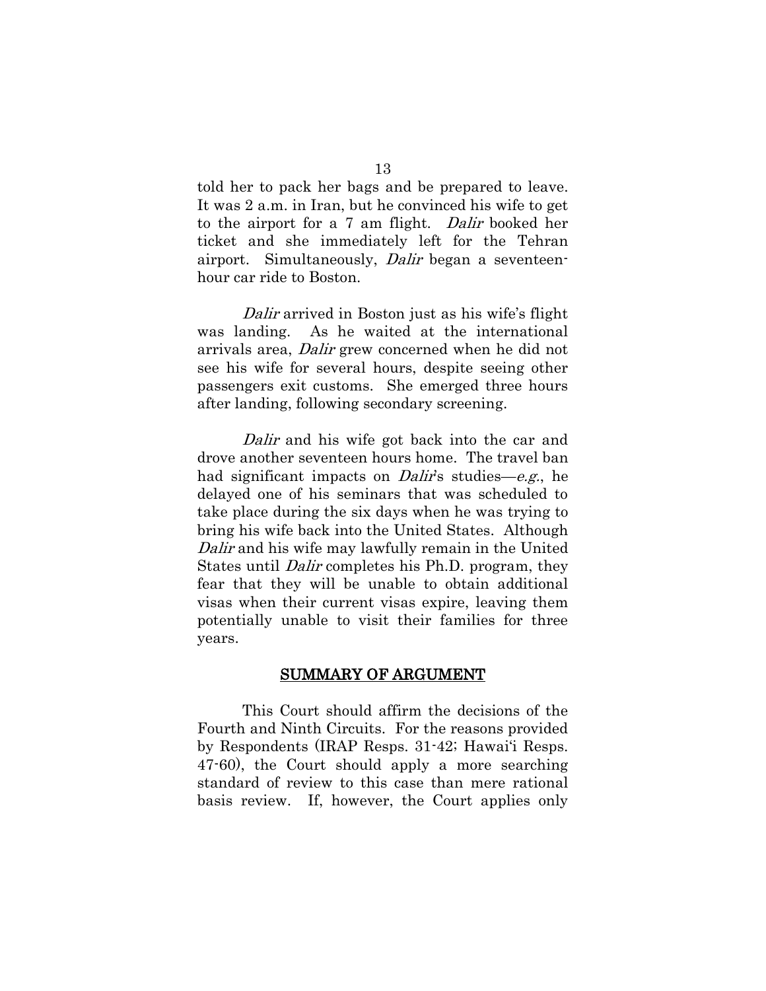told her to pack her bags and be prepared to leave. It was 2 a.m. in Iran, but he convinced his wife to get to the airport for a 7 am flight. Dalir booked her ticket and she immediately left for the Tehran airport. Simultaneously, Dalir began a seventeenhour car ride to Boston.

Dalir arrived in Boston just as his wife's flight was landing. As he waited at the international arrivals area, Dalir grew concerned when he did not see his wife for several hours, despite seeing other passengers exit customs. She emerged three hours after landing, following secondary screening.

Dalir and his wife got back into the car and drove another seventeen hours home. The travel ban had significant impacts on *Dalir's* studies—e.g., he delayed one of his seminars that was scheduled to take place during the six days when he was trying to bring his wife back into the United States. Although Dalir and his wife may lawfully remain in the United States until Dalir completes his Ph.D. program, they fear that they will be unable to obtain additional visas when their current visas expire, leaving them potentially unable to visit their families for three years.

#### SUMMARY OF ARGUMENT

<span id="page-18-0"></span>This Court should affirm the decisions of the Fourth and Ninth Circuits. For the reasons provided by Respondents (IRAP Resps. 31-42; Hawai'i Resps. 47-60), the Court should apply a more searching standard of review to this case than mere rational basis review. If, however, the Court applies only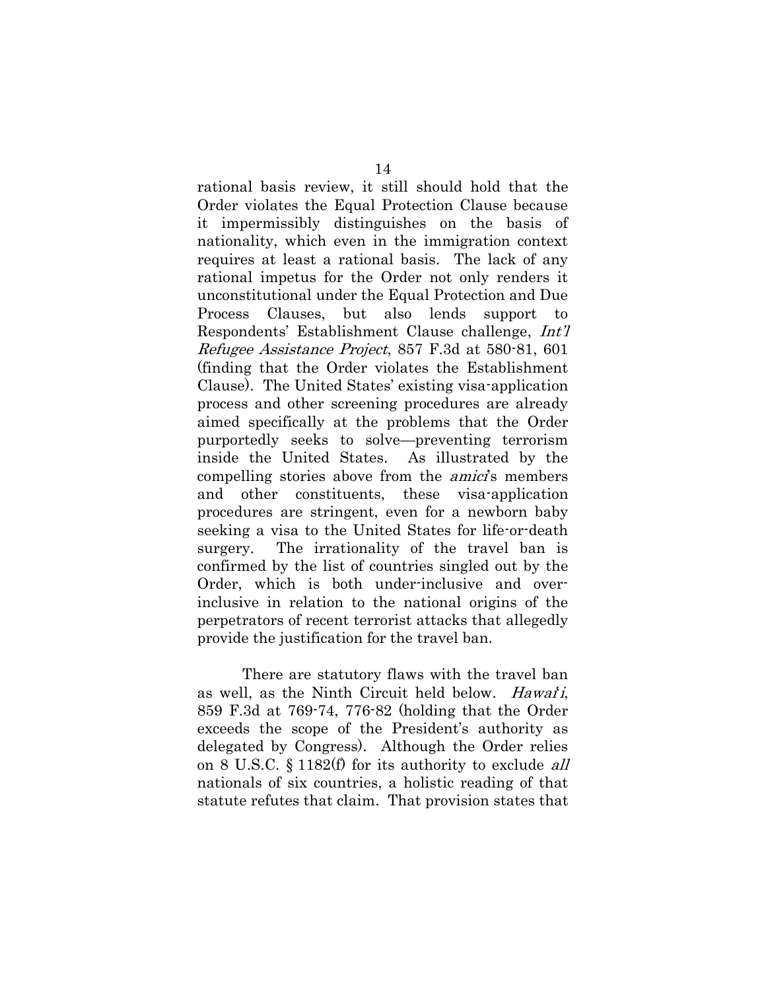rational basis review, it still should hold that the Order violates the Equal Protection Clause because it impermissibly distinguishes on the basis of nationality, which even in the immigration context requires at least a rational basis. The lack of any rational impetus for the Order not only renders it unconstitutional under the Equal Protection and Due Process Clauses, but also lends support to Respondents' Establishment Clause challenge, Int'l Refugee Assistance Project, 857 F.3d at 580-81, 601 (finding that the Order violates the Establishment Clause). The United States' existing visa-application process and other screening procedures are already aimed specifically at the problems that the Order purportedly seeks to solve—preventing terrorism inside the United States. As illustrated by the compelling stories above from the *amici*'s members and other constituents, these visa-application procedures are stringent, even for a newborn baby seeking a visa to the United States for life-or-death surgery. The irrationality of the travel ban is confirmed by the list of countries singled out by the Order, which is both under-inclusive and overinclusive in relation to the national origins of the perpetrators of recent terrorist attacks that allegedly provide the justification for the travel ban.

There are statutory flaws with the travel ban as well, as the Ninth Circuit held below. *Hawai'i*, 859 F.3d at 769-74, 776-82 (holding that the Order exceeds the scope of the President's authority as delegated by Congress). Although the Order relies on 8 U.S.C. § 1182(f) for its authority to exclude all nationals of six countries, a holistic reading of that statute refutes that claim. That provision states that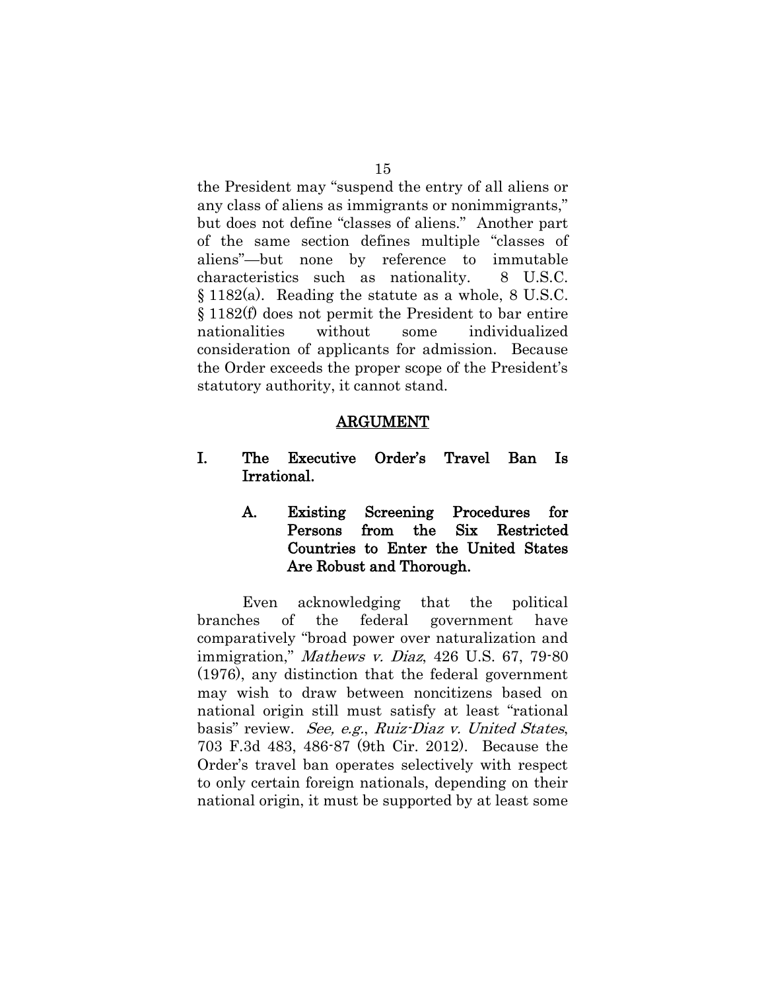the President may "suspend the entry of all aliens or any class of aliens as immigrants or nonimmigrants," but does not define "classes of aliens." Another part of the same section defines multiple "classes of aliens"—but none by reference to immutable characteristics such as nationality. 8 U.S.C. § 1182(a). Reading the statute as a whole, 8 U.S.C. § 1182(f) does not permit the President to bar entire nationalities without some individualized consideration of applicants for admission. Because the Order exceeds the proper scope of the President's statutory authority, it cannot stand.

#### ARGUMENT

- <span id="page-20-2"></span><span id="page-20-1"></span><span id="page-20-0"></span>I. The Executive Order's Travel Ban Is Irrational.
	- A. Existing Screening Procedures for Persons from the Six Restricted Countries to Enter the United States Are Robust and Thorough.

Even acknowledging that the political branches of the federal government have comparatively "broad power over naturalization and immigration," Mathews v. Diaz, 426 U.S. 67, 79-80 (1976), any distinction that the federal government may wish to draw between noncitizens based on national origin still must satisfy at least "rational basis" review. See, e.g., Ruiz-Diaz v. United States, 703 F.3d 483, 486-87 (9th Cir. 2012). Because the Order's travel ban operates selectively with respect to only certain foreign nationals, depending on their national origin, it must be supported by at least some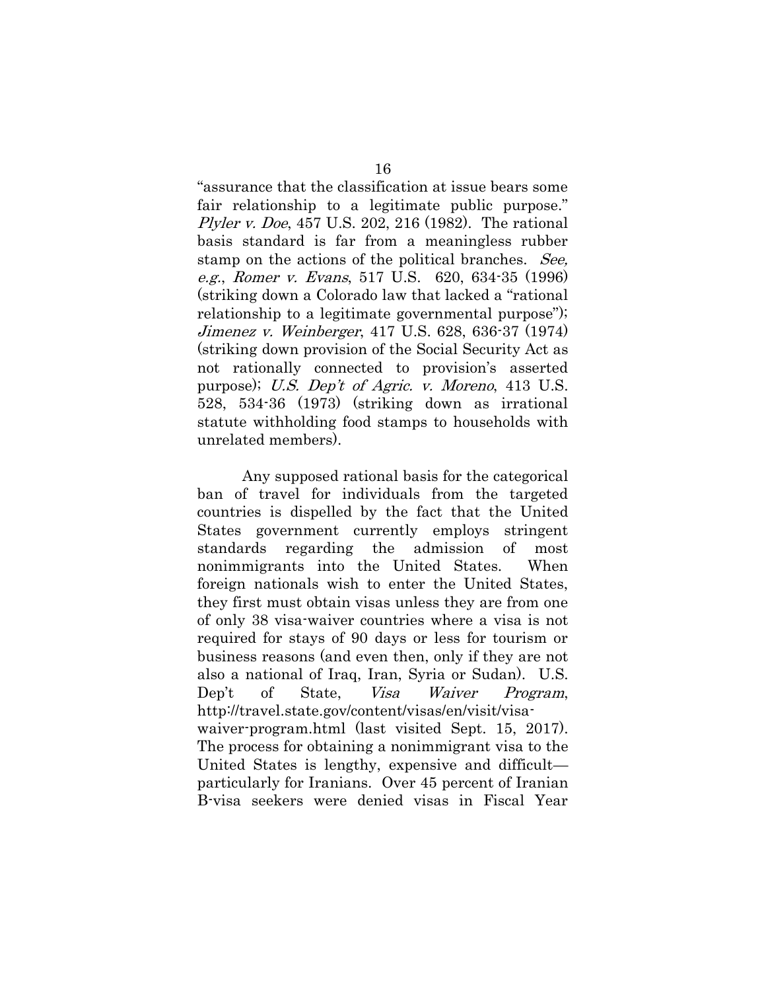"assurance that the classification at issue bears some fair relationship to a legitimate public purpose." Plyler v. Doe, 457 U.S. 202, 216 (1982). The rational basis standard is far from a meaningless rubber stamp on the actions of the political branches. See, e.g., Romer v. Evans, 517 U.S. 620, 634-35 (1996) (striking down a Colorado law that lacked a "rational relationship to a legitimate governmental purpose"); Jimenez v. Weinberger, 417 U.S. 628, 636-37 (1974) (striking down provision of the Social Security Act as not rationally connected to provision's asserted purpose); U.S. Dep't of Agric. v. Moreno, 413 U.S. 528, 534-36 (1973) (striking down as irrational statute withholding food stamps to households with unrelated members).

Any supposed rational basis for the categorical ban of travel for individuals from the targeted countries is dispelled by the fact that the United States government currently employs stringent standards regarding the admission of most nonimmigrants into the United States. When foreign nationals wish to enter the United States, they first must obtain visas unless they are from one of only 38 visa-waiver countries where a visa is not required for stays of 90 days or less for tourism or business reasons (and even then, only if they are not also a national of Iraq, Iran, Syria or Sudan). U.S. Dep't of State, *Visa Waiver Program*, http://travel.state.gov/content/visas/en/visit/visawaiver-program.html (last visited Sept. 15, 2017). The process for obtaining a nonimmigrant visa to the United States is lengthy, expensive and difficult particularly for Iranians. Over 45 percent of Iranian B-visa seekers were denied visas in Fiscal Year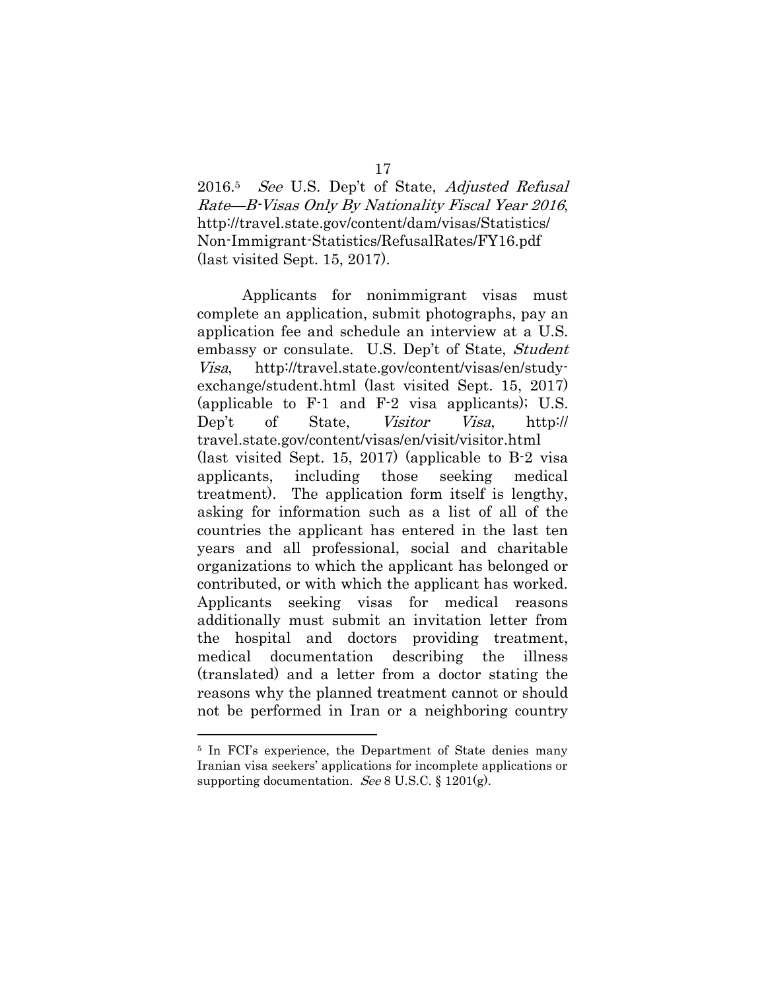2016.<sup>5</sup> See U.S. Dep't of State, Adjusted Refusal Rate—B-Visas Only By Nationality Fiscal Year 2016, http://travel.state.gov/content/dam/visas/Statistics/ Non-Immigrant-Statistics/RefusalRates/FY16.pdf (last visited Sept. 15, 2017).

Applicants for nonimmigrant visas must complete an application, submit photographs, pay an application fee and schedule an interview at a U.S. embassy or consulate. U.S. Dep't of State, Student Visa, http://travel.state.gov/content/visas/en/studyexchange/student.html (last visited Sept. 15, 2017) (applicable to F-1 and F-2 visa applicants); U.S. Dep't of State, *Visitor Visa*, http:// travel.state.gov/content/visas/en/visit/visitor.html (last visited Sept. 15, 2017) (applicable to B-2 visa applicants, including those seeking medical treatment). The application form itself is lengthy, asking for information such as a list of all of the countries the applicant has entered in the last ten years and all professional, social and charitable organizations to which the applicant has belonged or contributed, or with which the applicant has worked. Applicants seeking visas for medical reasons additionally must submit an invitation letter from the hospital and doctors providing treatment, medical documentation describing the illness (translated) and a letter from a doctor stating the reasons why the planned treatment cannot or should not be performed in Iran or a neighboring country

<sup>5</sup> In FCI's experience, the Department of State denies many Iranian visa seekers' applications for incomplete applications or supporting documentation. See 8 U.S.C.  $\S 1201(g)$ .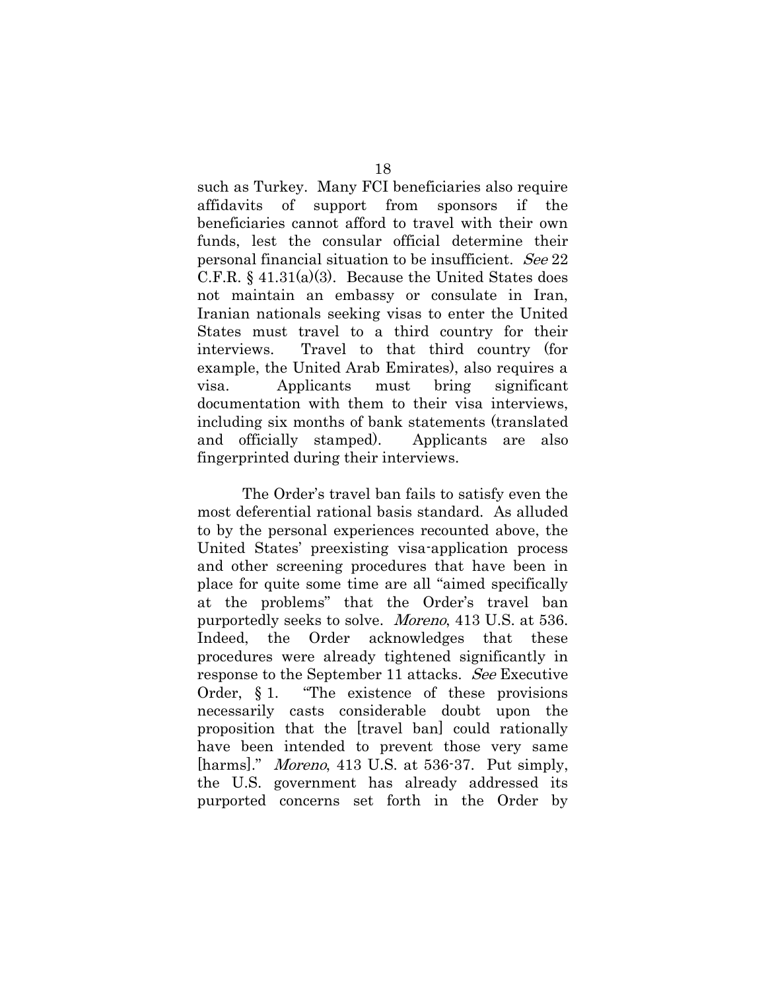such as Turkey. Many FCI beneficiaries also require affidavits of support from sponsors if the beneficiaries cannot afford to travel with their own funds, lest the consular official determine their personal financial situation to be insufficient. See 22 C.F.R.  $\S$  41.31(a)(3). Because the United States does not maintain an embassy or consulate in Iran, Iranian nationals seeking visas to enter the United States must travel to a third country for their interviews. Travel to that third country (for example, the United Arab Emirates), also requires a visa. Applicants must bring significant documentation with them to their visa interviews, including six months of bank statements (translated and officially stamped). Applicants are also fingerprinted during their interviews.

The Order's travel ban fails to satisfy even the most deferential rational basis standard. As alluded to by the personal experiences recounted above, the United States' preexisting visa-application process and other screening procedures that have been in place for quite some time are all "aimed specifically at the problems" that the Order's travel ban purportedly seeks to solve. Moreno, 413 U.S. at 536. Indeed, the Order acknowledges that these procedures were already tightened significantly in response to the September 11 attacks. See Executive Order, § 1. "The existence of these provisions necessarily casts considerable doubt upon the proposition that the [travel ban] could rationally have been intended to prevent those very same [harms]." Moreno, 413 U.S. at 536-37. Put simply, the U.S. government has already addressed its purported concerns set forth in the Order by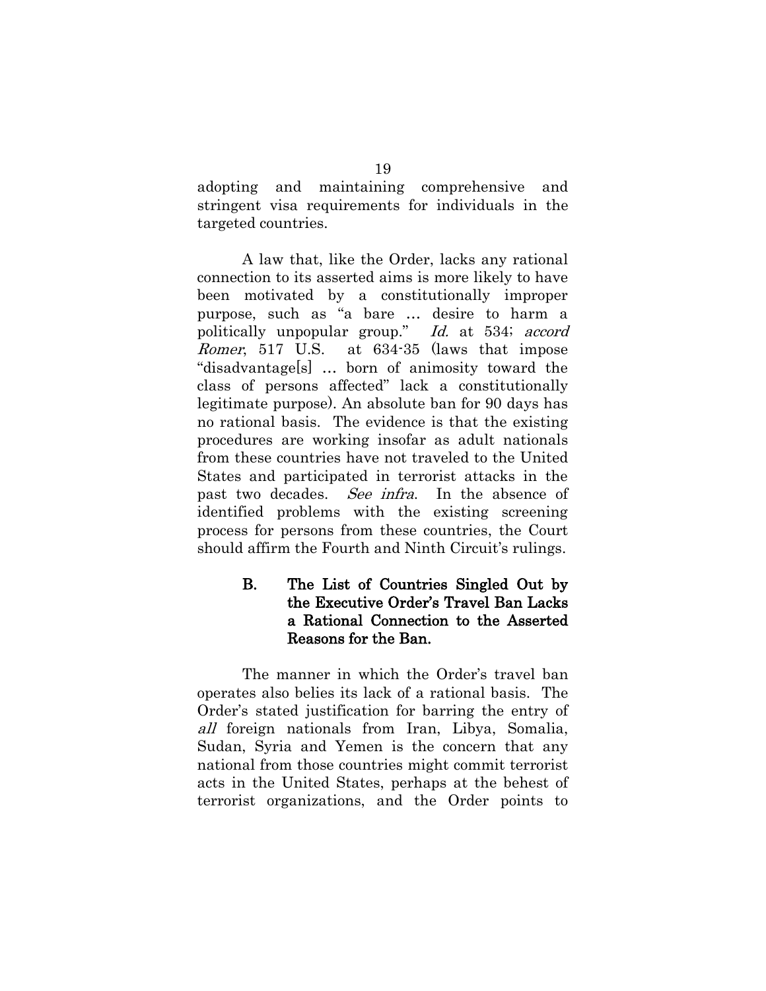adopting and maintaining comprehensive and stringent visa requirements for individuals in the targeted countries.

A law that, like the Order, lacks any rational connection to its asserted aims is more likely to have been motivated by a constitutionally improper purpose, such as "a bare … desire to harm a politically unpopular group." Id. at 534; accord Romer, 517 U.S. at 634-35 (laws that impose "disadvantage[s] … born of animosity toward the class of persons affected" lack a constitutionally legitimate purpose). An absolute ban for 90 days has no rational basis. The evidence is that the existing procedures are working insofar as adult nationals from these countries have not traveled to the United States and participated in terrorist attacks in the past two decades. See infra. In the absence of identified problems with the existing screening process for persons from these countries, the Court should affirm the Fourth and Ninth Circuit's rulings.

#### <span id="page-24-0"></span>B. The List of Countries Singled Out by the Executive Order's Travel Ban Lacks a Rational Connection to the Asserted Reasons for the Ban.

The manner in which the Order's travel ban operates also belies its lack of a rational basis. The Order's stated justification for barring the entry of all foreign nationals from Iran, Libya, Somalia, Sudan, Syria and Yemen is the concern that any national from those countries might commit terrorist acts in the United States, perhaps at the behest of terrorist organizations, and the Order points to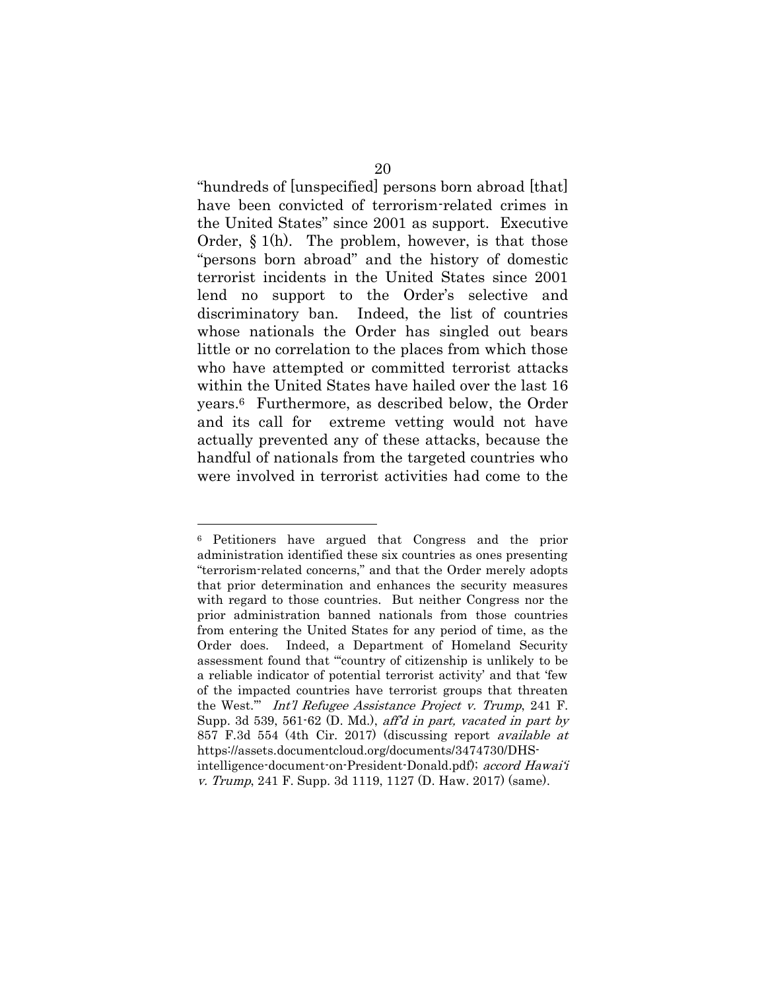"hundreds of [unspecified] persons born abroad [that] have been convicted of terrorism-related crimes in the United States" since 2001 as support. Executive Order, § 1(h). The problem, however, is that those "persons born abroad" and the history of domestic terrorist incidents in the United States since 2001 lend no support to the Order's selective and discriminatory ban. Indeed, the list of countries whose nationals the Order has singled out bears little or no correlation to the places from which those who have attempted or committed terrorist attacks within the United States have hailed over the last 16 years.6 Furthermore, as described below, the Order and its call for extreme vetting would not have actually prevented any of these attacks, because the handful of nationals from the targeted countries who were involved in terrorist activities had come to the

<sup>6</sup> Petitioners have argued that Congress and the prior administration identified these six countries as ones presenting "terrorism-related concerns," and that the Order merely adopts that prior determination and enhances the security measures with regard to those countries. But neither Congress nor the prior administration banned nationals from those countries from entering the United States for any period of time, as the Order does. Indeed, a Department of Homeland Security assessment found that "'country of citizenship is unlikely to be a reliable indicator of potential terrorist activity' and that 'few of the impacted countries have terrorist groups that threaten the West.'" Int'l Refugee Assistance Project v. Trump, 241 F. Supp. 3d 539, 561-62 (D. Md.), aff'd in part, vacated in part by 857 F.3d 554 (4th Cir. 2017) (discussing report available at https://assets.documentcloud.org/documents/3474730/DHSintelligence-document-on-President-Donald.pdf); accord Hawai'i v. Trump, 241 F. Supp. 3d 1119, 1127 (D. Haw. 2017) (same).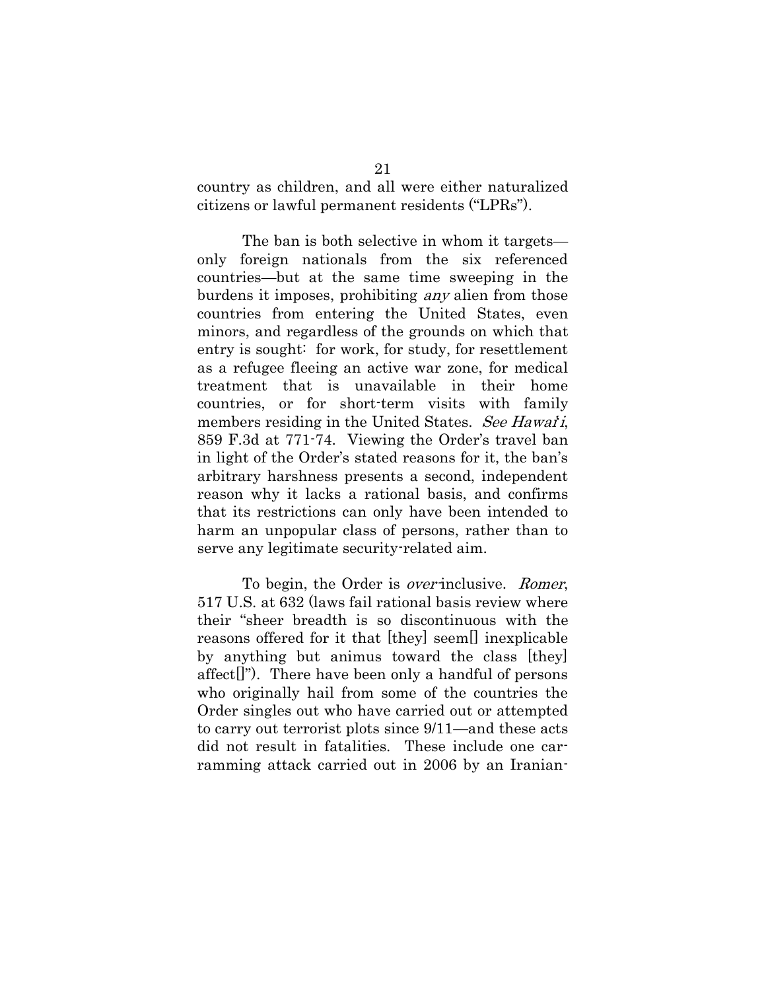country as children, and all were either naturalized citizens or lawful permanent residents ("LPRs").

The ban is both selective in whom it targets only foreign nationals from the six referenced countries—but at the same time sweeping in the burdens it imposes, prohibiting any alien from those countries from entering the United States, even minors, and regardless of the grounds on which that entry is sought: for work, for study, for resettlement as a refugee fleeing an active war zone, for medical treatment that is unavailable in their home countries, or for short-term visits with family members residing in the United States. See Hawaii, 859 F.3d at 771-74. Viewing the Order's travel ban in light of the Order's stated reasons for it, the ban's arbitrary harshness presents a second, independent reason why it lacks a rational basis, and confirms that its restrictions can only have been intended to harm an unpopular class of persons, rather than to serve any legitimate security-related aim.

To begin, the Order is *over*-inclusive. *Romer*, 517 U.S. at 632 (laws fail rational basis review where their "sheer breadth is so discontinuous with the reasons offered for it that [they] seem[] inexplicable by anything but animus toward the class [they] affect[]"). There have been only a handful of persons who originally hail from some of the countries the Order singles out who have carried out or attempted to carry out terrorist plots since 9/11—and these acts did not result in fatalities. These include one carramming attack carried out in 2006 by an Iranian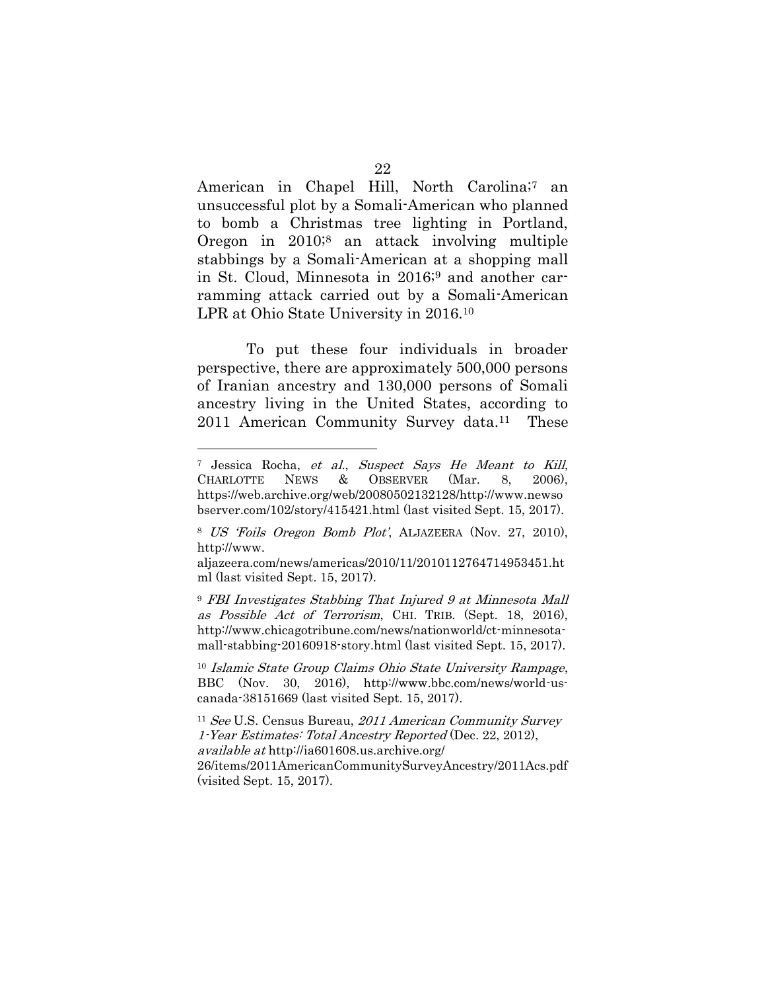American in Chapel Hill, North Carolina;7 an unsuccessful plot by a Somali-American who planned to bomb a Christmas tree lighting in Portland, Oregon in 2010;<sup>8</sup> an attack involving multiple stabbings by a Somali-American at a shopping mall in St. Cloud, Minnesota in 2016;<sup>9</sup> and another carramming attack carried out by a Somali-American LPR at Ohio State University in 2016.<sup>10</sup>

To put these four individuals in broader perspective, there are approximately 500,000 persons of Iranian ancestry and 130,000 persons of Somali ancestry living in the United States, according to 2011 American Community Survey data.11 These

 $\overline{a}$ 

<sup>10</sup> Islamic State Group Claims Ohio State University Rampage, BBC (Nov. 30, 2016), http://www.bbc.com/news/world-uscanada-38151669 (last visited Sept. 15, 2017).

<sup>7</sup> Jessica Rocha, et al., Suspect Says He Meant to Kill, CHARLOTTE NEWS & OBSERVER (Mar. 8, 2006), https://web.archive.org/web/20080502132128/http://www.newso bserver.com/102/story/415421.html (last visited Sept. 15, 2017).

<sup>8</sup> US 'Foils Oregon Bomb Plot', ALJAZEERA (Nov. 27, 2010), http://www.

aljazeera.com/news/americas/2010/11/2010112764714953451.ht ml (last visited Sept. 15, 2017).

<sup>9</sup> FBI Investigates Stabbing That Injured 9 at Minnesota Mall as Possible Act of Terrorism, CHI. TRIB. (Sept. 18, 2016), http://www.chicagotribune.com/news/nationworld/ct-minnesotamall-stabbing-20160918-story.html (last visited Sept. 15, 2017).

<sup>&</sup>lt;sup>11</sup> See U.S. Census Bureau, 2011 American Community Survey 1-Year Estimates: Total Ancestry Reported (Dec. 22, 2012), available at http://ia601608.us.archive.org/ 26/items/2011AmericanCommunitySurveyAncestry/2011Acs.pdf (visited Sept. 15, 2017).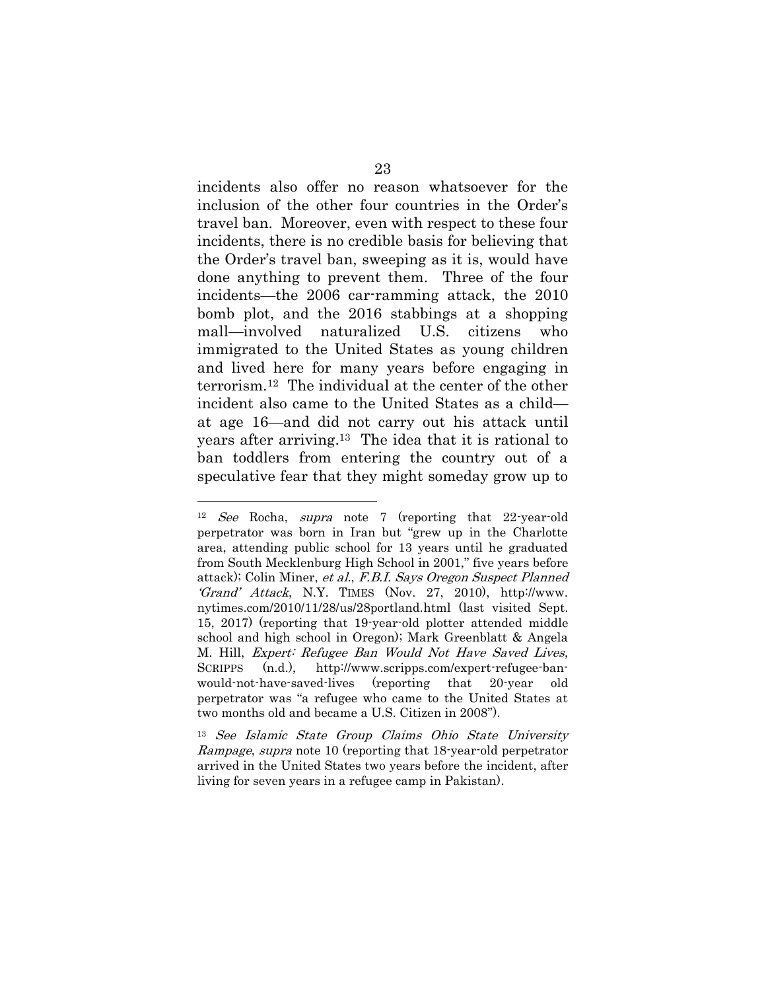incidents also offer no reason whatsoever for the inclusion of the other four countries in the Order's travel ban. Moreover, even with respect to these four incidents, there is no credible basis for believing that the Order's travel ban, sweeping as it is, would have done anything to prevent them. Three of the four incidents—the 2006 car-ramming attack, the 2010 bomb plot, and the 2016 stabbings at a shopping mall—involved naturalized U.S. citizens who immigrated to the United States as young children and lived here for many years before engaging in terrorism.12 The individual at the center of the other incident also came to the United States as a child at age 16—and did not carry out his attack until years after arriving. <sup>13</sup> The idea that it is rational to ban toddlers from entering the country out of a speculative fear that they might someday grow up to

<sup>12</sup> See Rocha, supra note 7 (reporting that 22-year-old perpetrator was born in Iran but "grew up in the Charlotte area, attending public school for 13 years until he graduated from South Mecklenburg High School in 2001," five years before attack); Colin Miner, et al., F.B.I. Says Oregon Suspect Planned 'Grand' Attack, N.Y. TIMES (Nov. 27, 2010), http://www. nytimes.com/2010/11/28/us/28portland.html (last visited Sept. 15, 2017) (reporting that 19-year-old plotter attended middle school and high school in Oregon); Mark Greenblatt & Angela M. Hill, Expert: Refugee Ban Would Not Have Saved Lives, SCRIPPS (n.d.), http://www.scripps.com/expert-refugee-banwould-not-have-saved-lives (reporting that 20-year old perpetrator was "a refugee who came to the United States at two months old and became a U.S. Citizen in 2008").

<sup>13</sup> See Islamic State Group Claims Ohio State University Rampage, supra note 10 (reporting that 18-year-old perpetrator arrived in the United States two years before the incident, after living for seven years in a refugee camp in Pakistan).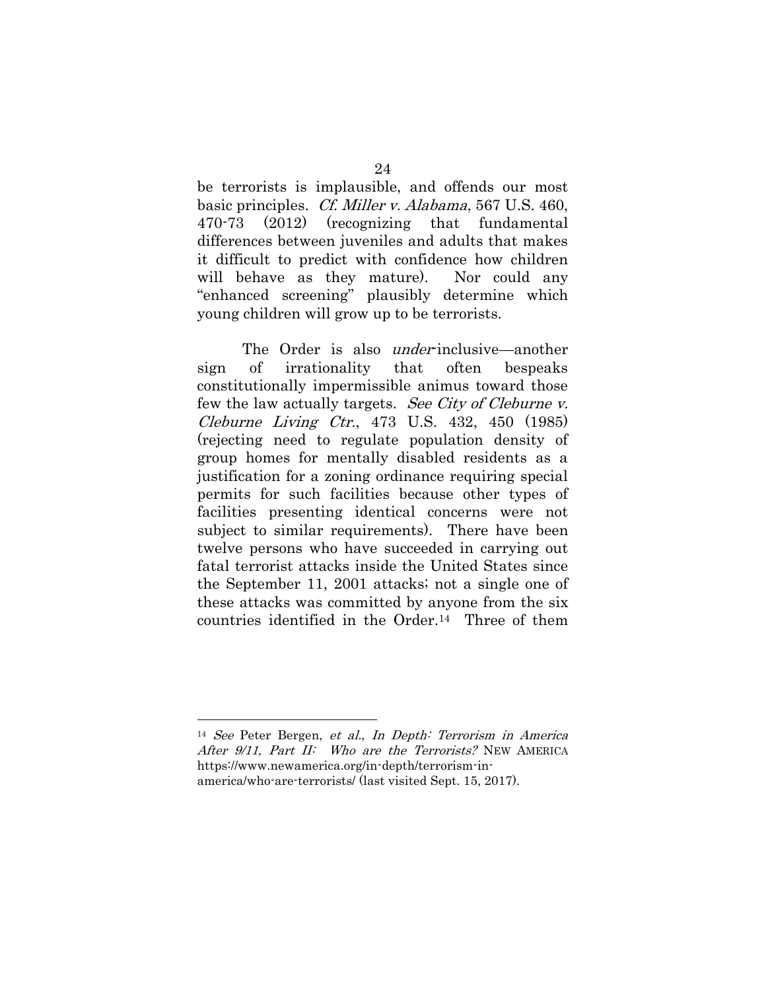be terrorists is implausible, and offends our most basic principles. Cf. Miller v. Alabama, 567 U.S. 460, 470-73 (2012) (recognizing that fundamental differences between juveniles and adults that makes it difficult to predict with confidence how children will behave as they mature). Nor could any "enhanced screening" plausibly determine which young children will grow up to be terrorists.

The Order is also *under*-inclusive—another sign of irrationality that often bespeaks constitutionally impermissible animus toward those few the law actually targets. See City of Cleburne v. Cleburne Living Ctr., 473 U.S. 432, 450 (1985) (rejecting need to regulate population density of group homes for mentally disabled residents as a justification for a zoning ordinance requiring special permits for such facilities because other types of facilities presenting identical concerns were not subject to similar requirements). There have been twelve persons who have succeeded in carrying out fatal terrorist attacks inside the United States since the September 11, 2001 attacks; not a single one of these attacks was committed by anyone from the six countries identified in the Order.14 Three of them

<sup>14</sup> See Peter Bergen, et al., In Depth: Terrorism in America After 9/11, Part II: Who are the Terrorists? NEW AMERICA https://www.newamerica.org/in-depth/terrorism-inamerica/who-are-terrorists/ (last visited Sept. 15, 2017).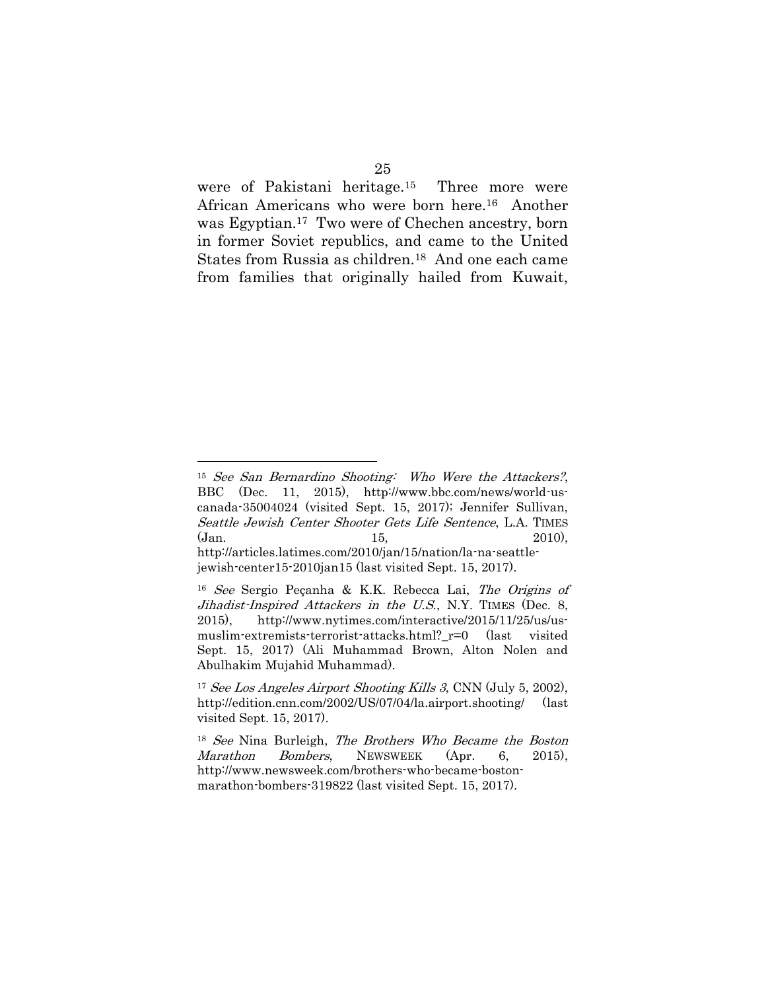were of Pakistani heritage.15 Three more were African Americans who were born here.16 Another was Egyptian.17 Two were of Chechen ancestry, born in former Soviet republics, and came to the United States from Russia as children.18 And one each came from families that originally hailed from Kuwait,

<sup>15</sup> See San Bernardino Shooting: Who Were the Attackers?, BBC (Dec. 11, 2015), http://www.bbc.com/news/world-uscanada-35004024 (visited Sept. 15, 2017); Jennifer Sullivan, Seattle Jewish Center Shooter Gets Life Sentence, L.A. TIMES (Jan. 15, 2010), http://articles.latimes.com/2010/jan/15/nation/la-na-seattle-

jewish-center15-2010jan15 (last visited Sept. 15, 2017).

<sup>16</sup> See Sergio Peçanha & K.K. Rebecca Lai, The Origins of Jihadist-Inspired Attackers in the U.S., N.Y. TIMES (Dec. 8, 2015), http://www.nytimes.com/interactive/2015/11/25/us/usmuslim-extremists-terrorist-attacks.html?\_r=0 (last visited Sept. 15, 2017) (Ali Muhammad Brown, Alton Nolen and Abulhakim Mujahid Muhammad).

<sup>&</sup>lt;sup>17</sup> See Los Angeles Airport Shooting Kills 3, CNN (July 5, 2002), http://edition.cnn.com/2002/US/07/04/la.airport.shooting/ (last visited Sept. 15, 2017).

<sup>18</sup> See Nina Burleigh, The Brothers Who Became the Boston Marathon Bombers, NEWSWEEK (Apr. 6, 2015), http://www.newsweek.com/brothers-who-became-bostonmarathon-bombers-319822 (last visited Sept. 15, 2017).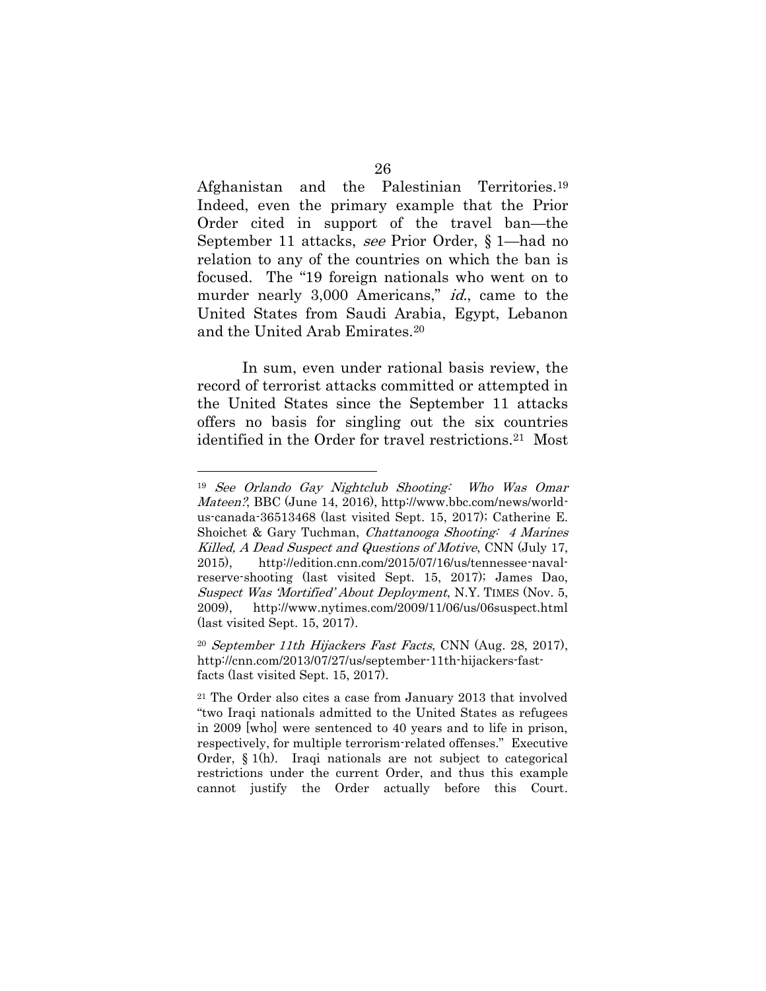Afghanistan and the Palestinian Territories.<sup>19</sup> Indeed, even the primary example that the Prior Order cited in support of the travel ban—the September 11 attacks, see Prior Order, § 1—had no relation to any of the countries on which the ban is focused. The "19 foreign nationals who went on to murder nearly 3,000 Americans," *id.*, came to the United States from Saudi Arabia, Egypt, Lebanon and the United Arab Emirates.<sup>20</sup>

In sum, even under rational basis review, the record of terrorist attacks committed or attempted in the United States since the September 11 attacks offers no basis for singling out the six countries identified in the Order for travel restrictions.21 Most

<sup>19</sup> See Orlando Gay Nightclub Shooting: Who Was Omar Mateen?, BBC (June 14, 2016), http://www.bbc.com/news/worldus-canada-36513468 (last visited Sept. 15, 2017); Catherine E. Shoichet & Gary Tuchman, Chattanooga Shooting: 4 Marines Killed, A Dead Suspect and Questions of Motive, CNN (July 17, 2015), http://edition.cnn.com/2015/07/16/us/tennessee-navalreserve-shooting (last visited Sept. 15, 2017); James Dao, Suspect Was 'Mortified' About Deployment, N.Y. TIMES (Nov. 5, 2009), http://www.nytimes.com/2009/11/06/us/06suspect.html (last visited Sept. 15, 2017).

<sup>20</sup> September 11th Hijackers Fast Facts, CNN (Aug. 28, 2017), http://cnn.com/2013/07/27/us/september-11th-hijackers-fastfacts (last visited Sept. 15, 2017).

<sup>21</sup> The Order also cites a case from January 2013 that involved "two Iraqi nationals admitted to the United States as refugees in 2009 [who] were sentenced to 40 years and to life in prison, respectively, for multiple terrorism-related offenses." Executive Order, § 1(h). Iraqi nationals are not subject to categorical restrictions under the current Order, and thus this example cannot justify the Order actually before this Court.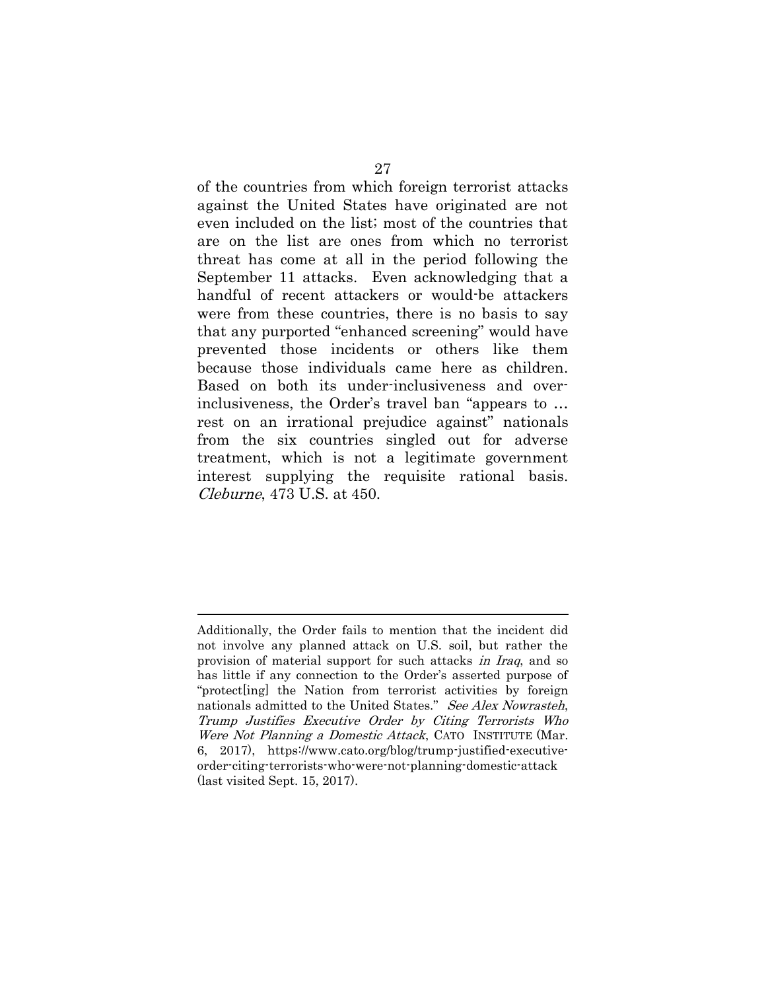of the countries from which foreign terrorist attacks against the United States have originated are not even included on the list; most of the countries that are on the list are ones from which no terrorist threat has come at all in the period following the September 11 attacks. Even acknowledging that a handful of recent attackers or would-be attackers were from these countries, there is no basis to say that any purported "enhanced screening" would have prevented those incidents or others like them because those individuals came here as children. Based on both its under-inclusiveness and overinclusiveness, the Order's travel ban "appears to … rest on an irrational prejudice against" nationals from the six countries singled out for adverse treatment, which is not a legitimate government interest supplying the requisite rational basis. Cleburne, 473 U.S. at 450.

Additionally, the Order fails to mention that the incident did not involve any planned attack on U.S. soil, but rather the provision of material support for such attacks in Iraq, and so has little if any connection to the Order's asserted purpose of "protect [ing] the Nation from terrorist activities by foreign nationals admitted to the United States." See Alex Nowrasteh, Trump Justifies Executive Order by Citing Terrorists Who Were Not Planning a Domestic Attack, CATO INSTITUTE (Mar. 6, 2017), https://www.cato.org/blog/trump-justified-executiveorder-citing-terrorists-who-were-not-planning-domestic-attack (last visited Sept. 15, 2017).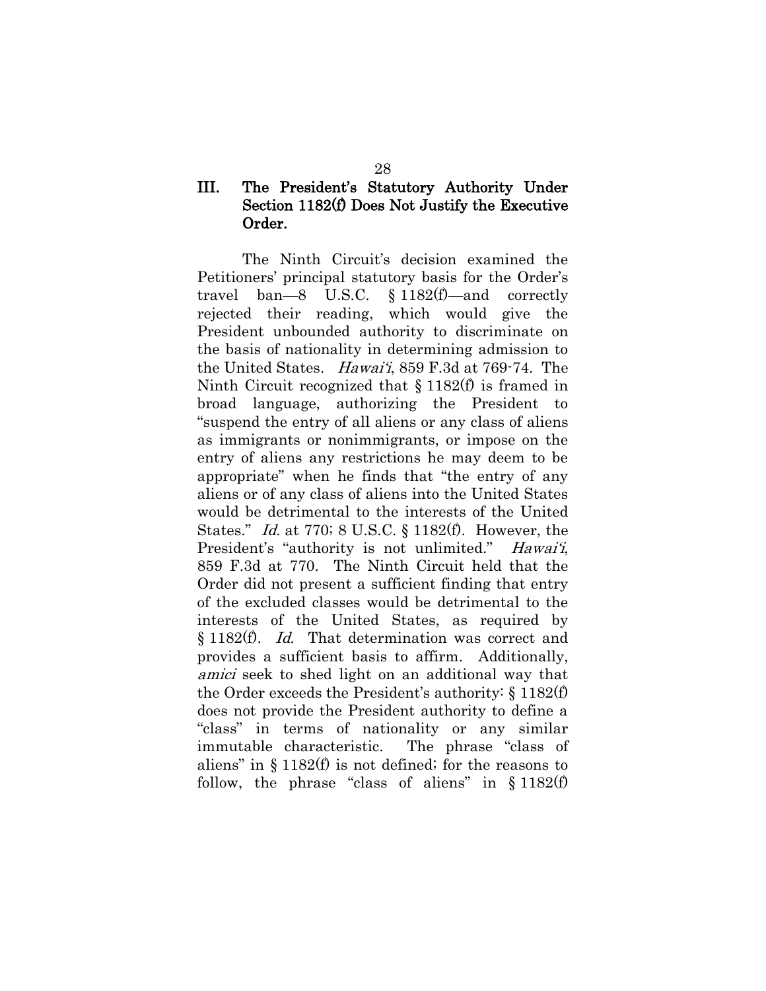### <span id="page-33-0"></span>III. The President's Statutory Authority Under Section 1182(f) Does Not Justify the Executive Order.

The Ninth Circuit's decision examined the Petitioners' principal statutory basis for the Order's travel ban—8 U.S.C. § 1182(f)—and correctly rejected their reading, which would give the President unbounded authority to discriminate on the basis of nationality in determining admission to the United States. Hawai'i, 859 F.3d at 769-74. The Ninth Circuit recognized that § 1182(f) is framed in broad language, authorizing the President to "suspend the entry of all aliens or any class of aliens as immigrants or nonimmigrants, or impose on the entry of aliens any restrictions he may deem to be appropriate" when he finds that "the entry of any aliens or of any class of aliens into the United States would be detrimental to the interests of the United States." Id. at 770; 8 U.S.C. § 1182(f). However, the President's "authority is not unlimited." Hawai'i, 859 F.3d at 770. The Ninth Circuit held that the Order did not present a sufficient finding that entry of the excluded classes would be detrimental to the interests of the United States, as required by § 1182(f). Id. That determination was correct and provides a sufficient basis to affirm. Additionally, amici seek to shed light on an additional way that the Order exceeds the President's authority: § 1182(f) does not provide the President authority to define a "class" in terms of nationality or any similar immutable characteristic. The phrase "class of aliens" in § 1182(f) is not defined; for the reasons to follow, the phrase "class of aliens" in  $§ 1182(f)$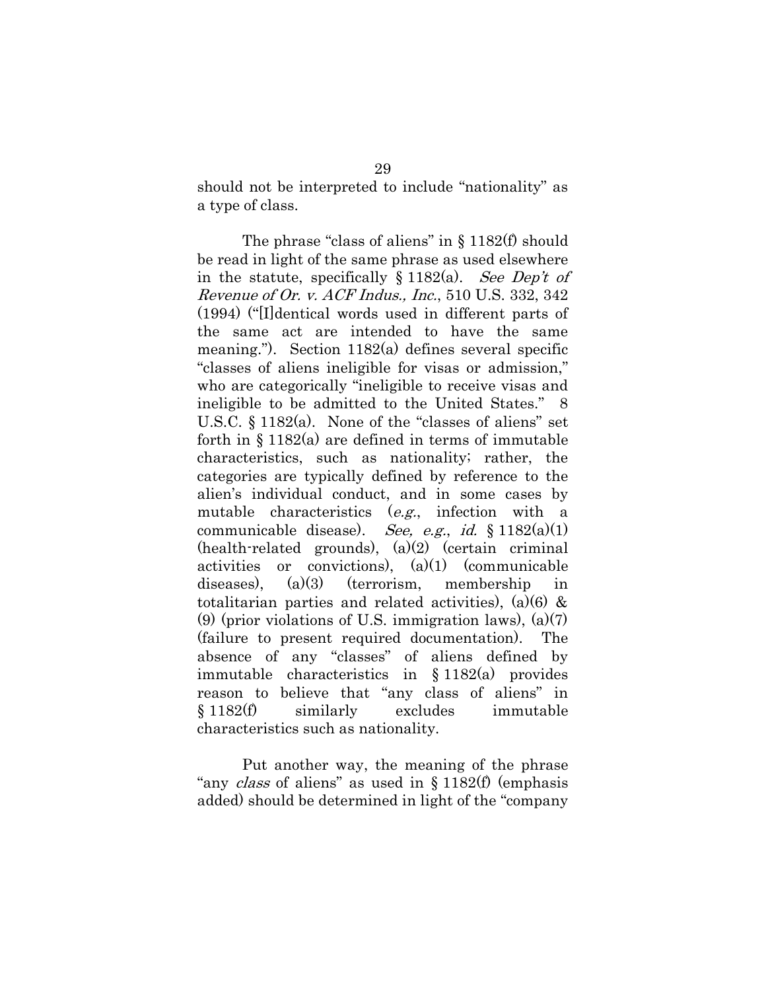should not be interpreted to include "nationality" as a type of class.

The phrase "class of aliens" in  $\S$  1182(f) should be read in light of the same phrase as used elsewhere in the statute, specifically  $§ 1182(a)$ . See Dep't of Revenue of Or. v. ACF Indus., Inc., 510 U.S. 332, 342 (1994) ("[I]dentical words used in different parts of the same act are intended to have the same meaning."). Section 1182(a) defines several specific "classes of aliens ineligible for visas or admission," who are categorically "ineligible to receive visas and ineligible to be admitted to the United States." 8 U.S.C. § 1182(a). None of the "classes of aliens" set forth in  $\S 1182(a)$  are defined in terms of immutable characteristics, such as nationality; rather, the categories are typically defined by reference to the alien's individual conduct, and in some cases by mutable characteristics (e.g., infection with a communicable disease). See, e.g., id.  $§ 1182(a)(1)$  $(health-related grounds), (a)(2) (certain criminal$ activities or convictions),  $(a)(1)$  (communicable diseases), (a)(3) (terrorism, membership in totalitarian parties and related activities), (a)(6)  $\&$ (9) (prior violations of U.S. immigration laws),  $(a)(7)$ (failure to present required documentation). The absence of any "classes" of aliens defined by immutable characteristics in § 1182(a) provides reason to believe that "any class of aliens" in § 1182(f) similarly excludes immutable characteristics such as nationality.

Put another way, the meaning of the phrase "any *class* of aliens" as used in § 1182(f) (emphasis added) should be determined in light of the "company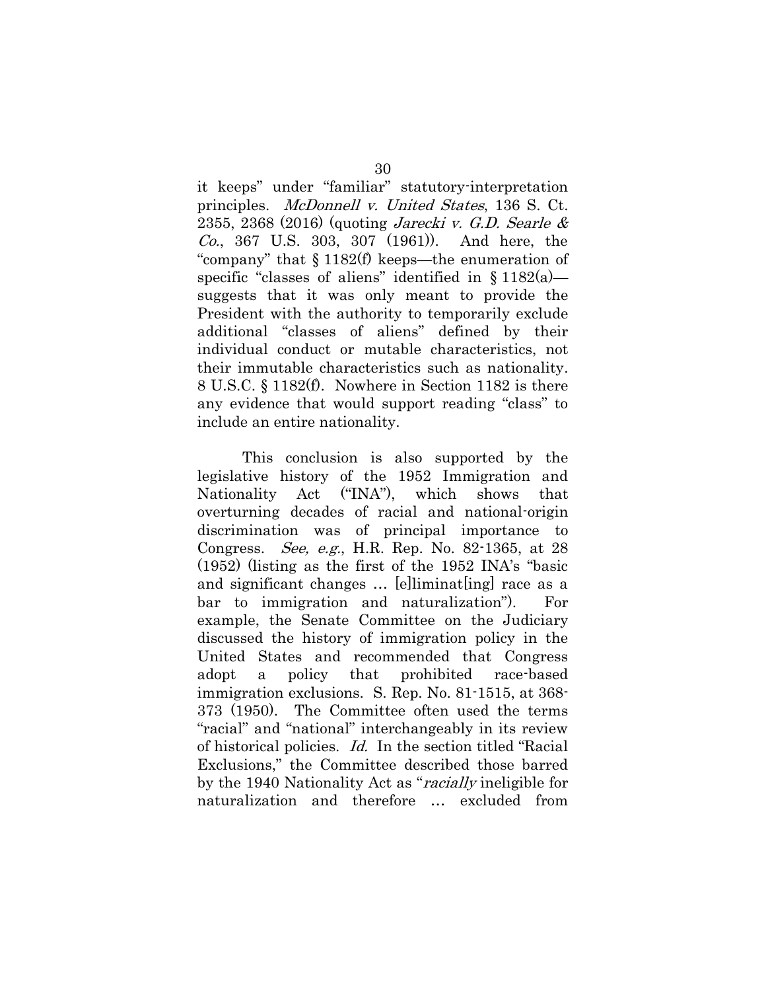it keeps" under "familiar" statutory-interpretation principles. McDonnell v. United States, 136 S. Ct. 2355, 2368 (2016) (quoting Jarecki v. G.D. Searle & Co., 367 U.S. 303, 307 (1961)). And here, the "company" that § 1182(f) keeps—the enumeration of specific "classes of aliens" identified in  $\S 1182(a)$  suggests that it was only meant to provide the President with the authority to temporarily exclude additional "classes of aliens" defined by their individual conduct or mutable characteristics, not their immutable characteristics such as nationality. 8 U.S.C. § 1182(f). Nowhere in Section 1182 is there any evidence that would support reading "class" to include an entire nationality.

This conclusion is also supported by the legislative history of the 1952 Immigration and Nationality Act ("INA"), which shows that overturning decades of racial and national-origin discrimination was of principal importance to Congress. See, e.g., H.R. Rep. No. 82-1365, at 28 (1952) (listing as the first of the 1952 INA's "basic and significant changes ... [e]liminat[ing] race as a bar to immigration and naturalization"). For example, the Senate Committee on the Judiciary discussed the history of immigration policy in the United States and recommended that Congress adopt a policy that prohibited race-based immigration exclusions. S. Rep. No. 81-1515, at 368- 373 (1950). The Committee often used the terms "racial" and "national" interchangeably in its review of historical policies. Id. In the section titled "Racial Exclusions," the Committee described those barred by the 1940 Nationality Act as "racially ineligible for naturalization and therefore … excluded from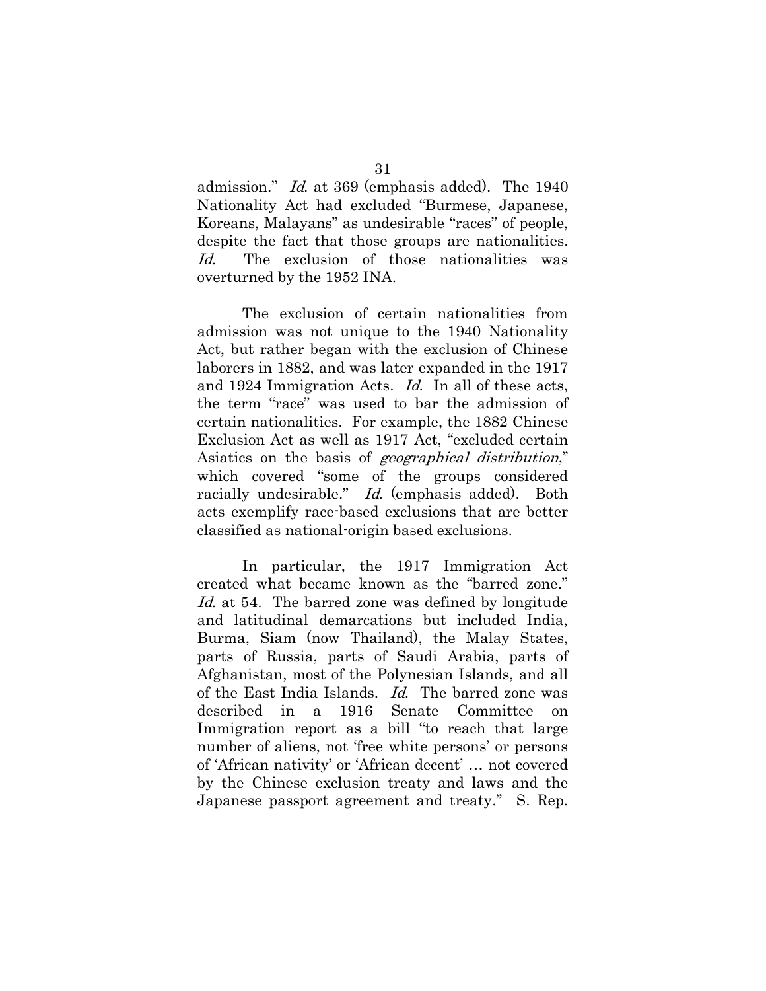admission." Id. at 369 (emphasis added). The 1940 Nationality Act had excluded "Burmese, Japanese, Koreans, Malayans" as undesirable "races" of people, despite the fact that those groups are nationalities. Id. The exclusion of those nationalities was overturned by the 1952 INA.

The exclusion of certain nationalities from admission was not unique to the 1940 Nationality Act, but rather began with the exclusion of Chinese laborers in 1882, and was later expanded in the 1917 and 1924 Immigration Acts. Id. In all of these acts, the term "race" was used to bar the admission of certain nationalities. For example, the 1882 Chinese Exclusion Act as well as 1917 Act, "excluded certain Asiatics on the basis of geographical distribution," which covered "some of the groups considered racially undesirable." Id. (emphasis added). Both acts exemplify race-based exclusions that are better classified as national-origin based exclusions.

In particular, the 1917 Immigration Act created what became known as the "barred zone." Id. at 54. The barred zone was defined by longitude and latitudinal demarcations but included India, Burma, Siam (now Thailand), the Malay States, parts of Russia, parts of Saudi Arabia, parts of Afghanistan, most of the Polynesian Islands, and all of the East India Islands. Id. The barred zone was described in a 1916 Senate Committee on Immigration report as a bill "to reach that large number of aliens, not 'free white persons' or persons of 'African nativity' or 'African decent' … not covered by the Chinese exclusion treaty and laws and the Japanese passport agreement and treaty." S. Rep.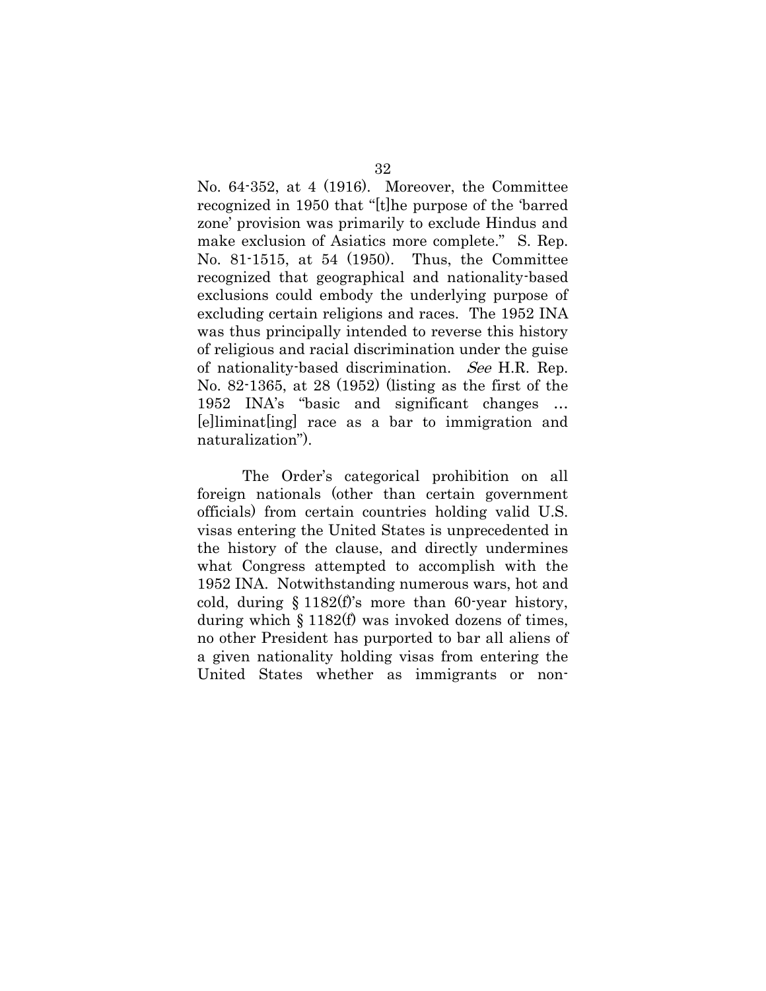No. 64-352, at 4 (1916). Moreover, the Committee recognized in 1950 that "[t]he purpose of the 'barred zone' provision was primarily to exclude Hindus and make exclusion of Asiatics more complete." S. Rep. No. 81-1515, at 54 (1950). Thus, the Committee recognized that geographical and nationality-based exclusions could embody the underlying purpose of excluding certain religions and races. The 1952 INA was thus principally intended to reverse this history of religious and racial discrimination under the guise of nationality-based discrimination. See H.R. Rep. No. 82-1365, at 28 (1952) (listing as the first of the 1952 INA's "basic and significant changes … [e]liminat[ing] race as a bar to immigration and naturalization").

The Order's categorical prohibition on all foreign nationals (other than certain government officials) from certain countries holding valid U.S. visas entering the United States is unprecedented in the history of the clause, and directly undermines what Congress attempted to accomplish with the 1952 INA. Notwithstanding numerous wars, hot and cold, during  $§ 1182(f)$ 's more than 60-year history, during which  $\S 1182(f)$  was invoked dozens of times, no other President has purported to bar all aliens of a given nationality holding visas from entering the United States whether as immigrants or non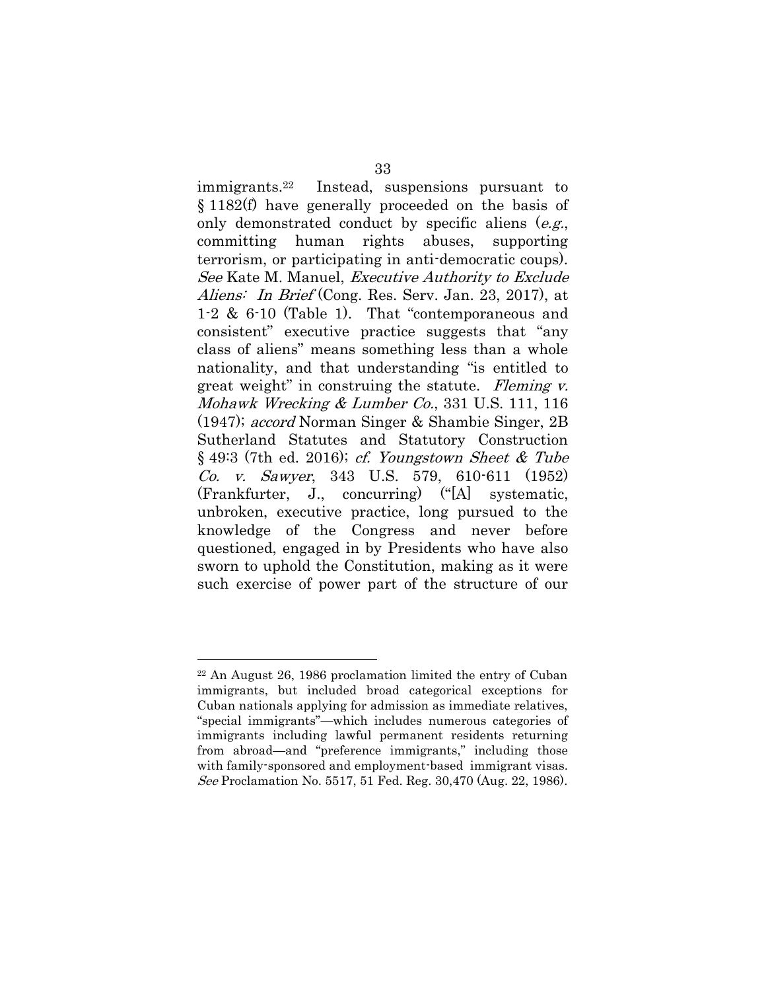immigrants. Instead, suspensions pursuant to § 1182(f) have generally proceeded on the basis of only demonstrated conduct by specific aliens (e.g., committing human rights abuses, supporting terrorism, or participating in anti-democratic coups). See Kate M. Manuel, Executive Authority to Exclude Aliens: In Brief (Cong. Res. Serv. Jan. 23, 2017), at 1-2 & 6-10 (Table 1). That "contemporaneous and consistent" executive practice suggests that "any class of aliens" means something less than a whole nationality, and that understanding "is entitled to great weight" in construing the statute. Fleming v. Mohawk Wrecking & Lumber Co., 331 U.S. 111, 116 (1947); accord Norman Singer & Shambie Singer, 2B Sutherland Statutes and Statutory Construction § 49:3 (7th ed. 2016); cf. Youngstown Sheet & Tube Co. v. Sawyer, 343 U.S. 579, 610-611 (1952) (Frankfurter, J., concurring) ("[A] systematic, unbroken, executive practice, long pursued to the knowledge of the Congress and never before questioned, engaged in by Presidents who have also sworn to uphold the Constitution, making as it were such exercise of power part of the structure of our

<sup>22</sup> An August 26, 1986 proclamation limited the entry of Cuban immigrants, but included broad categorical exceptions for Cuban nationals applying for admission as immediate relatives, "special immigrants"—which includes numerous categories of immigrants including lawful permanent residents returning from abroad—and "preference immigrants," including those with family-sponsored and employment-based immigrant visas. See Proclamation No. 5517, 51 Fed. Reg. 30,470 (Aug. 22, 1986).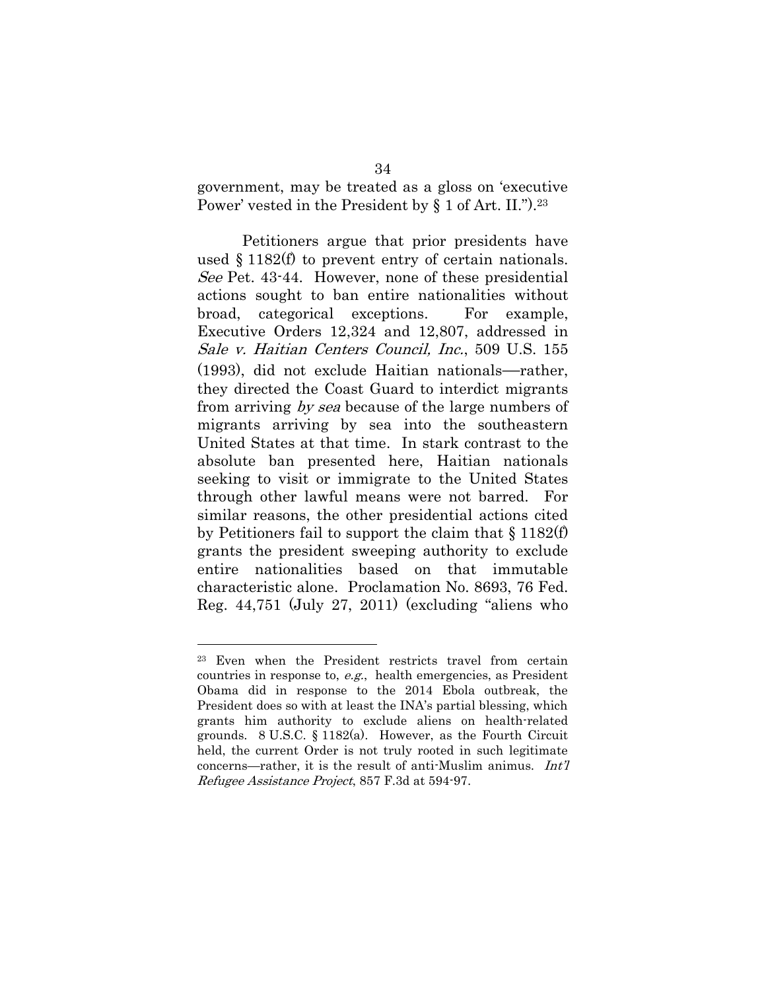government, may be treated as a gloss on 'executive Power' vested in the President by § 1 of Art. II."). <sup>23</sup>

Petitioners argue that prior presidents have used § 1182(f) to prevent entry of certain nationals. See Pet. 43-44. However, none of these presidential actions sought to ban entire nationalities without broad, categorical exceptions. For example, Executive Orders 12,324 and 12,807, addressed in Sale v. Haitian Centers Council, Inc., 509 U.S. 155 (1993), did not exclude Haitian nationals—rather, they directed the Coast Guard to interdict migrants from arriving by sea because of the large numbers of migrants arriving by sea into the southeastern United States at that time. In stark contrast to the absolute ban presented here, Haitian nationals seeking to visit or immigrate to the United States through other lawful means were not barred. For similar reasons, the other presidential actions cited by Petitioners fail to support the claim that § 1182(f) grants the president sweeping authority to exclude entire nationalities based on that immutable characteristic alone. Proclamation No. 8693, 76 Fed. Reg. 44,751 (July 27, 2011) (excluding "aliens who

<sup>23</sup> Even when the President restricts travel from certain countries in response to, e.g., health emergencies, as President Obama did in response to the 2014 Ebola outbreak, the President does so with at least the INA's partial blessing, which grants him authority to exclude aliens on health-related grounds. 8 U.S.C. § 1182(a). However, as the Fourth Circuit held, the current Order is not truly rooted in such legitimate concerns—rather, it is the result of anti-Muslim animus. Int'l Refugee Assistance Project, 857 F.3d at 594-97.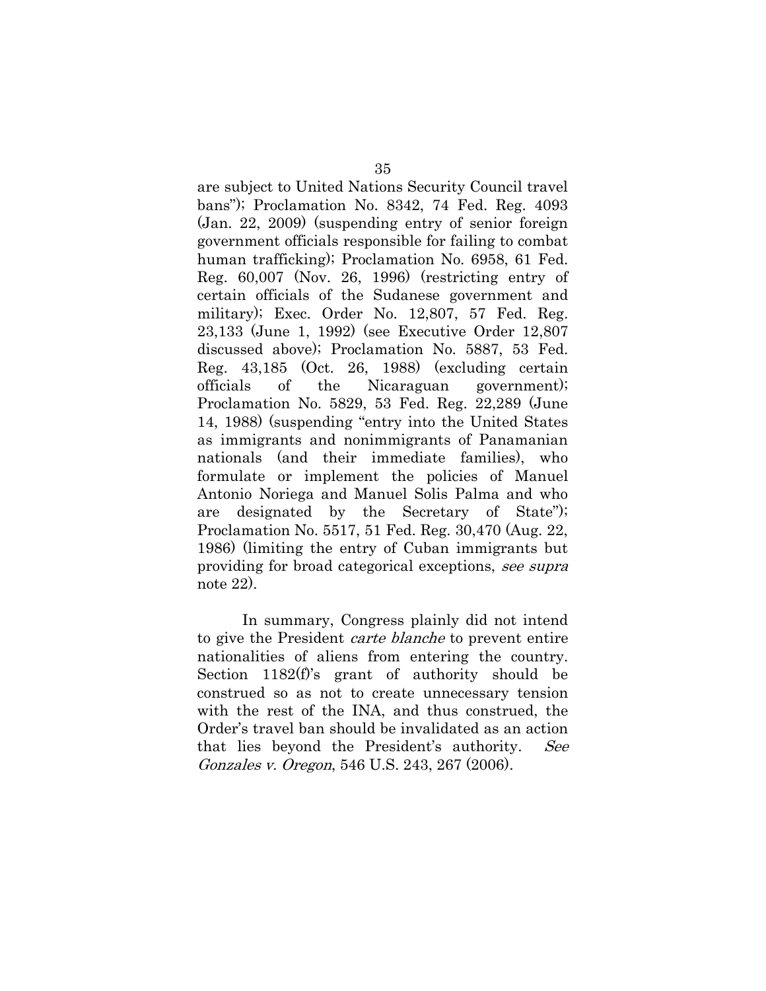are subject to United Nations Security Council travel bans"); Proclamation No. 8342, 74 Fed. Reg. 4093 (Jan. 22, 2009) (suspending entry of senior foreign government officials responsible for failing to combat human trafficking); Proclamation No. 6958, 61 Fed. Reg. 60,007 (Nov. 26, 1996) (restricting entry of certain officials of the Sudanese government and military); Exec. Order No. 12,807, 57 Fed. Reg. 23,133 (June 1, 1992) (see Executive Order 12,807 discussed above); Proclamation No. 5887, 53 Fed. Reg. 43,185 (Oct. 26, 1988) (excluding certain officials of the Nicaraguan government); Proclamation No. 5829, 53 Fed. Reg. 22,289 (June 14, 1988) (suspending "entry into the United States as immigrants and nonimmigrants of Panamanian nationals (and their immediate families), who formulate or implement the policies of Manuel Antonio Noriega and Manuel Solis Palma and who are designated by the Secretary of State"); Proclamation No. 5517, 51 Fed. Reg. 30,470 (Aug. 22, 1986) (limiting the entry of Cuban immigrants but providing for broad categorical exceptions, see supra note 22).

<span id="page-40-0"></span>In summary, Congress plainly did not intend to give the President carte blanche to prevent entire nationalities of aliens from entering the country. Section 1182(f)'s grant of authority should be construed so as not to create unnecessary tension with the rest of the INA, and thus construed, the Order's travel ban should be invalidated as an action that lies beyond the President's authority. See Gonzales v. Oregon, 546 U.S. 243, 267 (2006).